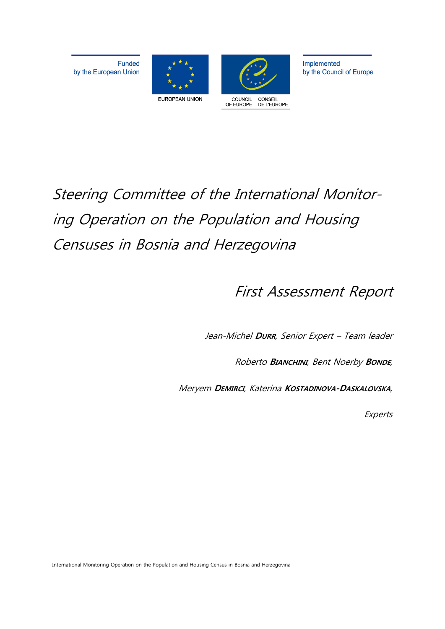**Funded** by the European Union





Implemented by the Council of Europe

# Steering Committee of the International Monitoring Operation on the Population and Housing Censuses in Bosnia and Herzegovina

First Assessment Report

Jean-Michel **DURR**, Senior Expert – Team leader

Roberto **BIANCHINI**, Bent Noerby **BONDE**,

Meryem **DEMIRCI**, Katerina **KOSTADINOVA-DASKALOVSKA**,

**Experts** 

International Monitoring Operation on the Population and Housing Census in Bosnia and Herzegovina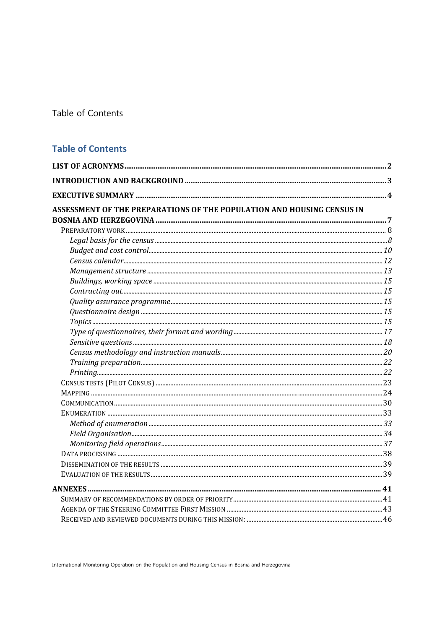Table of Contents

# **Table of Contents**

| ASSESSMENT OF THE PREPARATIONS OF THE POPULATION AND HOUSING CENSUS IN |  |
|------------------------------------------------------------------------|--|
|                                                                        |  |
|                                                                        |  |
|                                                                        |  |
|                                                                        |  |
|                                                                        |  |
|                                                                        |  |
|                                                                        |  |
|                                                                        |  |
|                                                                        |  |
|                                                                        |  |
|                                                                        |  |
|                                                                        |  |
|                                                                        |  |
|                                                                        |  |
|                                                                        |  |
|                                                                        |  |
|                                                                        |  |
|                                                                        |  |
|                                                                        |  |
|                                                                        |  |
|                                                                        |  |
|                                                                        |  |
|                                                                        |  |
|                                                                        |  |
|                                                                        |  |
|                                                                        |  |
|                                                                        |  |
|                                                                        |  |
|                                                                        |  |
|                                                                        |  |

International Monitoring Operation on the Population and Housing Census in Bosnia and Herzegovina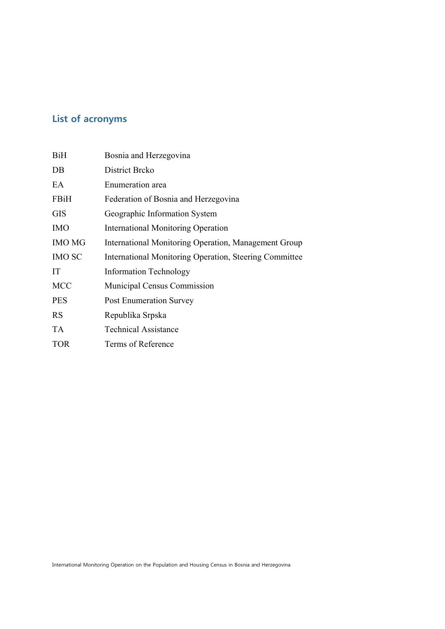# **List of acronyms**

| BiH           | Bosnia and Herzegovina                                 |
|---------------|--------------------------------------------------------|
| DB            | District Brcko                                         |
| EA            | Enumeration area                                       |
| FBiH          | Federation of Bosnia and Herzegovina                   |
| <b>GIS</b>    | Geographic Information System                          |
| <b>IMO</b>    | <b>International Monitoring Operation</b>              |
| <b>IMO MG</b> | International Monitoring Operation, Management Group   |
| <b>IMO SC</b> | International Monitoring Operation, Steering Committee |
| IT            | <b>Information Technology</b>                          |
| <b>MCC</b>    | Municipal Census Commission                            |
| <b>PES</b>    | <b>Post Enumeration Survey</b>                         |
| <b>RS</b>     | Republika Srpska                                       |
| <b>TA</b>     | <b>Technical Assistance</b>                            |
| <b>TOR</b>    | Terms of Reference                                     |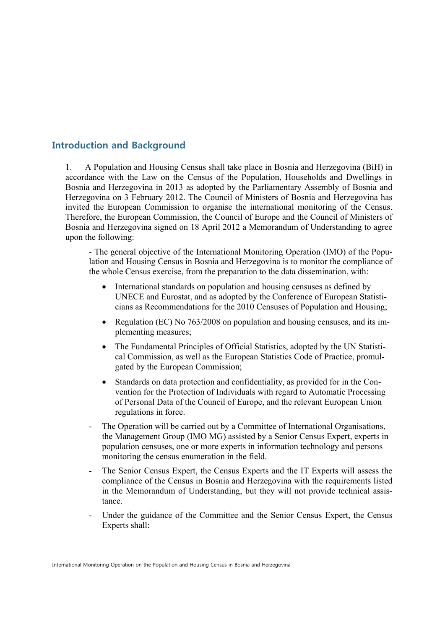# **Introduction and Background**

1. A Population and Housing Census shall take place in Bosnia and Herzegovina (BiH) in accordance with the Law on the Census of the Population, Households and Dwellings in Bosnia and Herzegovina in 2013 as adopted by the Parliamentary Assembly of Bosnia and Herzegovina on 3 February 2012. The Council of Ministers of Bosnia and Herzegovina has invited the European Commission to organise the international monitoring of the Census. Therefore, the European Commission, the Council of Europe and the Council of Ministers of Bosnia and Herzegovina signed on 18 April 2012 a Memorandum of Understanding to agree upon the following:

- The general objective of the International Monitoring Operation (IMO) of the Population and Housing Census in Bosnia and Herzegovina is to monitor the compliance of the whole Census exercise, from the preparation to the data dissemination, with:

- International standards on population and housing censuses as defined by UNECE and Eurostat, and as adopted by the Conference of European Statisticians as Recommendations for the 2010 Censuses of Population and Housing;
- Regulation (EC) No 763/2008 on population and housing censuses, and its implementing measures;
- The Fundamental Principles of Official Statistics, adopted by the UN Statistical Commission, as well as the European Statistics Code of Practice, promulgated by the European Commission;
- Standards on data protection and confidentiality, as provided for in the Convention for the Protection of Individuals with regard to Automatic Processing of Personal Data of the Council of Europe, and the relevant European Union regulations in force.
- The Operation will be carried out by a Committee of International Organisations, the Management Group (IMO MG) assisted by a Senior Census Expert, experts in population censuses, one or more experts in information technology and persons monitoring the census enumeration in the field.
- The Senior Census Expert, the Census Experts and the IT Experts will assess the compliance of the Census in Bosnia and Herzegovina with the requirements listed in the Memorandum of Understanding, but they will not provide technical assistance.
- Under the guidance of the Committee and the Senior Census Expert, the Census Experts shall: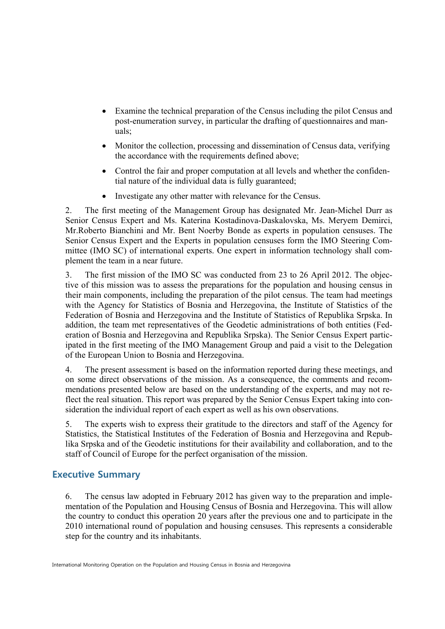- Examine the technical preparation of the Census including the pilot Census and post-enumeration survey, in particular the drafting of questionnaires and manuals;
- Monitor the collection, processing and dissemination of Census data, verifying the accordance with the requirements defined above;
- Control the fair and proper computation at all levels and whether the confidential nature of the individual data is fully guaranteed;
- Investigate any other matter with relevance for the Census.

2. The first meeting of the Management Group has designated Mr. Jean-Michel Durr as Senior Census Expert and Ms. Katerina Kostadinova-Daskalovska, Ms. Meryem Demirci, Mr.Roberto Bianchini and Mr. Bent Noerby Bonde as experts in population censuses. The Senior Census Expert and the Experts in population censuses form the IMO Steering Committee (IMO SC) of international experts. One expert in information technology shall complement the team in a near future.

3. The first mission of the IMO SC was conducted from 23 to 26 April 2012. The objective of this mission was to assess the preparations for the population and housing census in their main components, including the preparation of the pilot census. The team had meetings with the Agency for Statistics of Bosnia and Herzegovina, the Institute of Statistics of the Federation of Bosnia and Herzegovina and the Institute of Statistics of Republika Srpska. In addition, the team met representatives of the Geodetic administrations of both entities (Federation of Bosnia and Herzegovina and Republika Srpska). The Senior Census Expert participated in the first meeting of the IMO Management Group and paid a visit to the Delegation of the European Union to Bosnia and Herzegovina.

4. The present assessment is based on the information reported during these meetings, and on some direct observations of the mission. As a consequence, the comments and recommendations presented below are based on the understanding of the experts, and may not reflect the real situation. This report was prepared by the Senior Census Expert taking into consideration the individual report of each expert as well as his own observations.

5. The experts wish to express their gratitude to the directors and staff of the Agency for Statistics, the Statistical Institutes of the Federation of Bosnia and Herzegovina and Republika Srpska and of the Geodetic institutions for their availability and collaboration, and to the staff of Council of Europe for the perfect organisation of the mission.

# **Executive Summary**

6. The census law adopted in February 2012 has given way to the preparation and implementation of the Population and Housing Census of Bosnia and Herzegovina. This will allow the country to conduct this operation 20 years after the previous one and to participate in the 2010 international round of population and housing censuses. This represents a considerable step for the country and its inhabitants.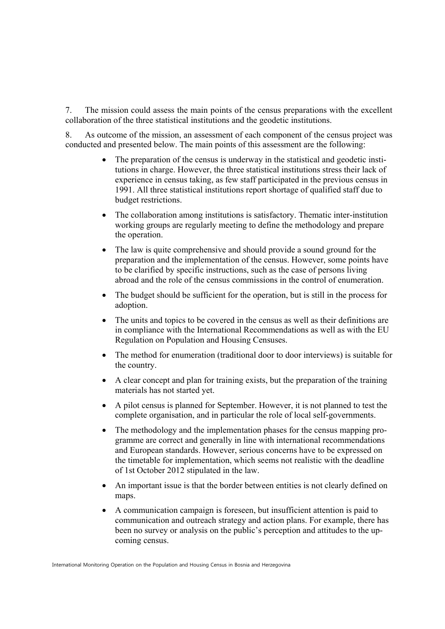7. The mission could assess the main points of the census preparations with the excellent collaboration of the three statistical institutions and the geodetic institutions.

8. As outcome of the mission, an assessment of each component of the census project was conducted and presented below. The main points of this assessment are the following:

- The preparation of the census is underway in the statistical and geodetic institutions in charge. However, the three statistical institutions stress their lack of experience in census taking, as few staff participated in the previous census in 1991. All three statistical institutions report shortage of qualified staff due to budget restrictions.
- The collaboration among institutions is satisfactory. Thematic inter-institution working groups are regularly meeting to define the methodology and prepare the operation.
- The law is quite comprehensive and should provide a sound ground for the preparation and the implementation of the census. However, some points have to be clarified by specific instructions, such as the case of persons living abroad and the role of the census commissions in the control of enumeration.
- The budget should be sufficient for the operation, but is still in the process for adoption.
- The units and topics to be covered in the census as well as their definitions are in compliance with the International Recommendations as well as with the EU Regulation on Population and Housing Censuses.
- The method for enumeration (traditional door to door interviews) is suitable for the country.
- A clear concept and plan for training exists, but the preparation of the training materials has not started yet.
- A pilot census is planned for September. However, it is not planned to test the complete organisation, and in particular the role of local self-governments.
- The methodology and the implementation phases for the census mapping programme are correct and generally in line with international recommendations and European standards. However, serious concerns have to be expressed on the timetable for implementation, which seems not realistic with the deadline of 1st October 2012 stipulated in the law.
- An important issue is that the border between entities is not clearly defined on maps.
- A communication campaign is foreseen, but insufficient attention is paid to communication and outreach strategy and action plans. For example, there has been no survey or analysis on the public's perception and attitudes to the upcoming census.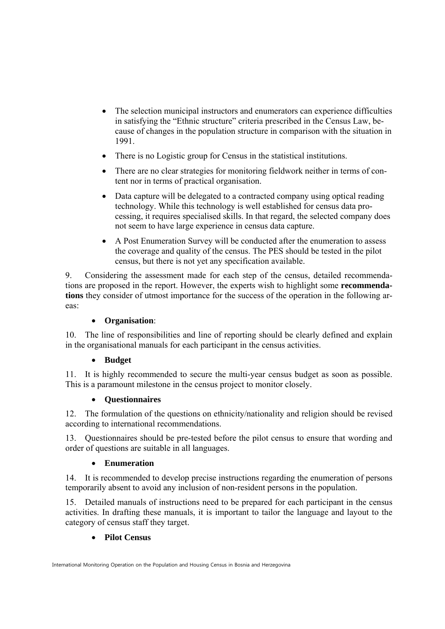- The selection municipal instructors and enumerators can experience difficulties in satisfying the "Ethnic structure" criteria prescribed in the Census Law, because of changes in the population structure in comparison with the situation in 1991.
- There is no Logistic group for Census in the statistical institutions.
- There are no clear strategies for monitoring fieldwork neither in terms of content nor in terms of practical organisation.
- Data capture will be delegated to a contracted company using optical reading technology. While this technology is well established for census data processing, it requires specialised skills. In that regard, the selected company does not seem to have large experience in census data capture.
- A Post Enumeration Survey will be conducted after the enumeration to assess the coverage and quality of the census. The PES should be tested in the pilot census, but there is not yet any specification available.

9. Considering the assessment made for each step of the census, detailed recommendations are proposed in the report. However, the experts wish to highlight some **recommendations** they consider of utmost importance for the success of the operation in the following areas:

# **Organisation**:

10. The line of responsibilities and line of reporting should be clearly defined and explain in the organisational manuals for each participant in the census activities.

# **Budget**

11. It is highly recommended to secure the multi-year census budget as soon as possible. This is a paramount milestone in the census project to monitor closely.

# **Questionnaires**

12. The formulation of the questions on ethnicity/nationality and religion should be revised according to international recommendations.

13. Questionnaires should be pre-tested before the pilot census to ensure that wording and order of questions are suitable in all languages.

# **Enumeration**

14. It is recommended to develop precise instructions regarding the enumeration of persons temporarily absent to avoid any inclusion of non-resident persons in the population.

15. Detailed manuals of instructions need to be prepared for each participant in the census activities. In drafting these manuals, it is important to tailor the language and layout to the category of census staff they target.

# **Pilot Census**

International Monitoring Operation on the Population and Housing Census in Bosnia and Herzegovina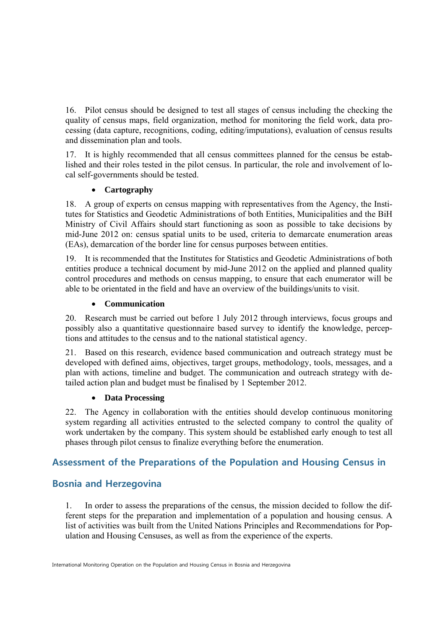16. Pilot census should be designed to test all stages of census including the checking the quality of census maps, field organization, method for monitoring the field work, data processing (data capture, recognitions, coding, editing/imputations), evaluation of census results and dissemination plan and tools.

17. It is highly recommended that all census committees planned for the census be established and their roles tested in the pilot census. In particular, the role and involvement of local self-governments should be tested.

# **Cartography**

18. A group of experts on census mapping with representatives from the Agency, the Institutes for Statistics and Geodetic Administrations of both Entities, Municipalities and the BiH Ministry of Civil Affairs should start functioning as soon as possible to take decisions by mid-June 2012 on: census spatial units to be used, criteria to demarcate enumeration areas (EAs), demarcation of the border line for census purposes between entities.

19. It is recommended that the Institutes for Statistics and Geodetic Administrations of both entities produce a technical document by mid-June 2012 on the applied and planned quality control procedures and methods on census mapping, to ensure that each enumerator will be able to be orientated in the field and have an overview of the buildings/units to visit.

# **Communication**

20. Research must be carried out before 1 July 2012 through interviews, focus groups and possibly also a quantitative questionnaire based survey to identify the knowledge, perceptions and attitudes to the census and to the national statistical agency.

21. Based on this research, evidence based communication and outreach strategy must be developed with defined aims, objectives, target groups, methodology, tools, messages, and a plan with actions, timeline and budget. The communication and outreach strategy with detailed action plan and budget must be finalised by 1 September 2012.

# **Data Processing**

22. The Agency in collaboration with the entities should develop continuous monitoring system regarding all activities entrusted to the selected company to control the quality of work undertaken by the company. This system should be established early enough to test all phases through pilot census to finalize everything before the enumeration.

# **Assessment of the Preparations of the Population and Housing Census in**

# **Bosnia and Herzegovina**

1. In order to assess the preparations of the census, the mission decided to follow the different steps for the preparation and implementation of a population and housing census. A list of activities was built from the United Nations Principles and Recommendations for Population and Housing Censuses, as well as from the experience of the experts.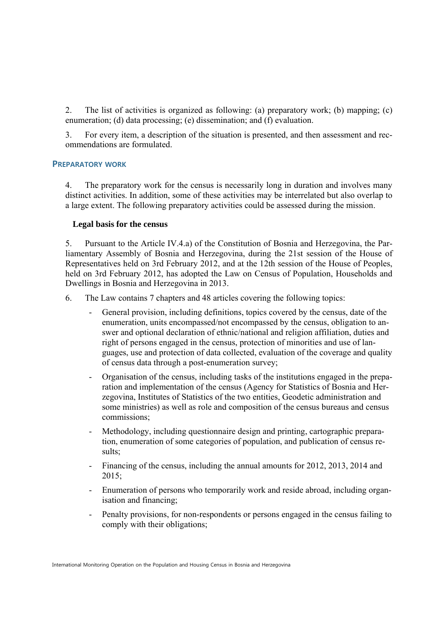2. The list of activities is organized as following: (a) preparatory work; (b) mapping; (c) enumeration; (d) data processing; (e) dissemination; and (f) evaluation.

3. For every item, a description of the situation is presented, and then assessment and recommendations are formulated.

#### **PREPARATORY WORK**

4. The preparatory work for the census is necessarily long in duration and involves many distinct activities. In addition, some of these activities may be interrelated but also overlap to a large extent. The following preparatory activities could be assessed during the mission.

#### **Legal basis for the census**

5. Pursuant to the Article IV.4.a) of the Constitution of Bosnia and Herzegovina, the Parliamentary Assembly of Bosnia and Herzegovina, during the 21st session of the House of Representatives held on 3rd February 2012, and at the 12th session of the House of Peoples, held on 3rd February 2012, has adopted the Law on Census of Population, Households and Dwellings in Bosnia and Herzegovina in 2013.

- 6. The Law contains 7 chapters and 48 articles covering the following topics:
	- General provision, including definitions, topics covered by the census, date of the enumeration, units encompassed/not encompassed by the census, obligation to answer and optional declaration of ethnic/national and religion affiliation, duties and right of persons engaged in the census, protection of minorities and use of languages, use and protection of data collected, evaluation of the coverage and quality of census data through a post-enumeration survey;
	- Organisation of the census, including tasks of the institutions engaged in the preparation and implementation of the census (Agency for Statistics of Bosnia and Herzegovina, Institutes of Statistics of the two entities, Geodetic administration and some ministries) as well as role and composition of the census bureaus and census commissions;
	- Methodology, including questionnaire design and printing, cartographic preparation, enumeration of some categories of population, and publication of census results;
	- Financing of the census, including the annual amounts for 2012, 2013, 2014 and  $2015$
	- Enumeration of persons who temporarily work and reside abroad, including organisation and financing;
	- Penalty provisions, for non-respondents or persons engaged in the census failing to comply with their obligations;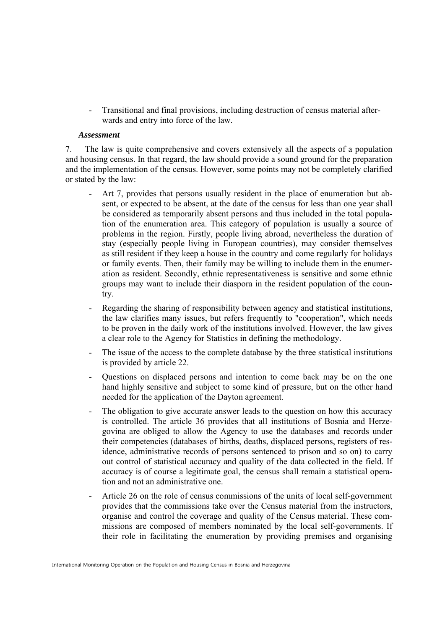- Transitional and final provisions, including destruction of census material afterwards and entry into force of the law.

#### *Assessment*

7. The law is quite comprehensive and covers extensively all the aspects of a population and housing census. In that regard, the law should provide a sound ground for the preparation and the implementation of the census. However, some points may not be completely clarified or stated by the law:

- Art 7, provides that persons usually resident in the place of enumeration but absent, or expected to be absent, at the date of the census for less than one year shall be considered as temporarily absent persons and thus included in the total population of the enumeration area. This category of population is usually a source of problems in the region. Firstly, people living abroad, nevertheless the duration of stay (especially people living in European countries), may consider themselves as still resident if they keep a house in the country and come regularly for holidays or family events. Then, their family may be willing to include them in the enumeration as resident. Secondly, ethnic representativeness is sensitive and some ethnic groups may want to include their diaspora in the resident population of the country.
- Regarding the sharing of responsibility between agency and statistical institutions. the law clarifies many issues, but refers frequently to "cooperation", which needs to be proven in the daily work of the institutions involved. However, the law gives a clear role to the Agency for Statistics in defining the methodology.
- The issue of the access to the complete database by the three statistical institutions is provided by article 22.
- Questions on displaced persons and intention to come back may be on the one hand highly sensitive and subject to some kind of pressure, but on the other hand needed for the application of the Dayton agreement.
- The obligation to give accurate answer leads to the question on how this accuracy is controlled. The article 36 provides that all institutions of Bosnia and Herzegovina are obliged to allow the Agency to use the databases and records under their competencies (databases of births, deaths, displaced persons, registers of residence, administrative records of persons sentenced to prison and so on) to carry out control of statistical accuracy and quality of the data collected in the field. If accuracy is of course a legitimate goal, the census shall remain a statistical operation and not an administrative one.
- Article 26 on the role of census commissions of the units of local self-government provides that the commissions take over the Census material from the instructors, organise and control the coverage and quality of the Census material. These commissions are composed of members nominated by the local self-governments. If their role in facilitating the enumeration by providing premises and organising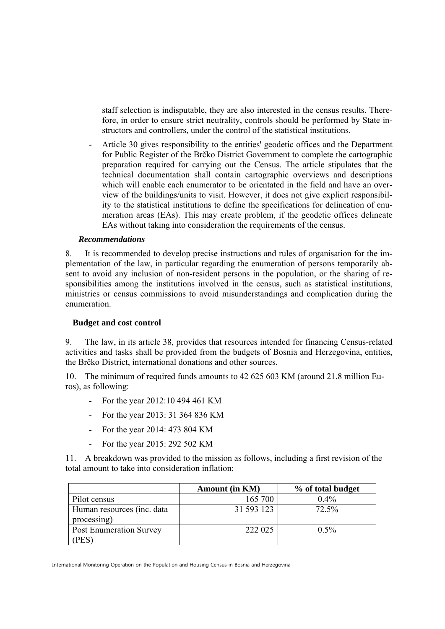staff selection is indisputable, they are also interested in the census results. Therefore, in order to ensure strict neutrality, controls should be performed by State instructors and controllers, under the control of the statistical institutions.

- Article 30 gives responsibility to the entities' geodetic offices and the Department for Public Register of the Brčko District Government to complete the cartographic preparation required for carrying out the Census. The article stipulates that the technical documentation shall contain cartographic overviews and descriptions which will enable each enumerator to be orientated in the field and have an overview of the buildings/units to visit. However, it does not give explicit responsibility to the statistical institutions to define the specifications for delineation of enumeration areas (EAs). This may create problem, if the geodetic offices delineate EAs without taking into consideration the requirements of the census.

## *Recommendations*

8. It is recommended to develop precise instructions and rules of organisation for the implementation of the law, in particular regarding the enumeration of persons temporarily absent to avoid any inclusion of non-resident persons in the population, or the sharing of responsibilities among the institutions involved in the census, such as statistical institutions, ministries or census commissions to avoid misunderstandings and complication during the enumeration.

#### **Budget and cost control**

9. The law, in its article 38, provides that resources intended for financing Census-related activities and tasks shall be provided from the budgets of Bosnia and Herzegovina, entities, the Brčko District, international donations and other sources.

10. The minimum of required funds amounts to 42 625 603 KM (around 21.8 million Euros), as following:

- For the year 2012:10 494 461 KM
- For the year 2013: 31 364 836 KM
- For the year 2014: 473 804 KM
- For the year 2015: 292 502 KM

11. A breakdown was provided to the mission as follows, including a first revision of the total amount to take into consideration inflation:

|                                           | <b>Amount (in KM)</b> | % of total budget |
|-------------------------------------------|-----------------------|-------------------|
| Pilot census                              | 165 700               | $0.4\%$           |
| Human resources (inc. data<br>processing) | 31 593 123            | 72.5%             |
| <b>Post Enumeration Survey</b><br>PES)    | 222 025               | $0.5\%$           |

International Monitoring Operation on the Population and Housing Census in Bosnia and Herzegovina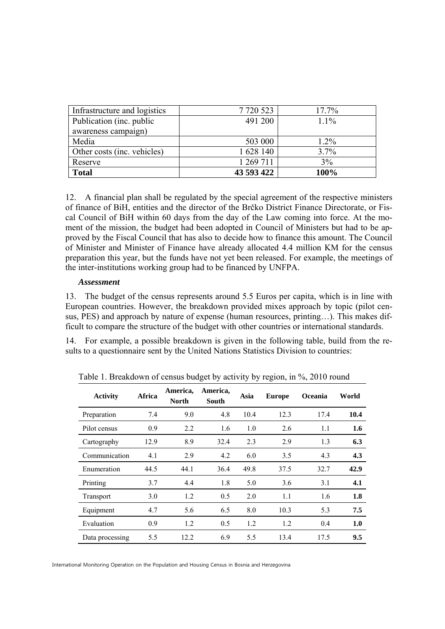| Infrastructure and logistics | 7720523    | 17.7%   |
|------------------------------|------------|---------|
| Publication (inc. public     | 491 200    | $1.1\%$ |
| awareness campaign)          |            |         |
| Media                        | 503 000    | $1.2\%$ |
| Other costs (inc. vehicles)  | 1 628 140  | 3.7%    |
| Reserve                      | 1 269 711  | 3%      |
| <b>Total</b>                 | 43 593 422 | 100%    |

12. A financial plan shall be regulated by the special agreement of the respective ministers of finance of BiH, entities and the director of the Brčko District Finance Directorate, or Fiscal Council of BiH within 60 days from the day of the Law coming into force. At the moment of the mission, the budget had been adopted in Council of Ministers but had to be approved by the Fiscal Council that has also to decide how to finance this amount. The Council of Minister and Minister of Finance have already allocated 4.4 million KM for the census preparation this year, but the funds have not yet been released. For example, the meetings of the inter-institutions working group had to be financed by UNFPA.

#### *Assessment*

13. The budget of the census represents around 5.5 Euros per capita, which is in line with European countries. However, the breakdown provided mixes approach by topic (pilot census, PES) and approach by nature of expense (human resources, printing…). This makes difficult to compare the structure of the budget with other countries or international standards.

14. For example, a possible breakdown is given in the following table, build from the results to a questionnaire sent by the United Nations Statistics Division to countries:

| <b>Activity</b> | Africa | America,<br><b>North</b> | America,<br><b>South</b> | Asia | <b>Europe</b> | <b>Oceania</b> | World |
|-----------------|--------|--------------------------|--------------------------|------|---------------|----------------|-------|
| Preparation     | 7.4    | 9.0                      | 4.8                      | 10.4 | 12.3          | 17.4           | 10.4  |
| Pilot census    | 0.9    | 2.2                      | 1.6                      | 1.0  | 2.6           | 1.1            | 1.6   |
| Cartography     | 12.9   | 8.9                      | 32.4                     | 2.3  | 2.9           | 1.3            | 6.3   |
| Communication   | 4.1    | 2.9                      | 4.2                      | 6.0  | 3.5           | 4.3            | 4.3   |
| Enumeration     | 44.5   | 44.1                     | 36.4                     | 49.8 | 37.5          | 32.7           | 42.9  |
| Printing        | 3.7    | 4.4                      | 1.8                      | 5.0  | 3.6           | 3.1            | 4.1   |
| Transport       | 3.0    | 1.2                      | 0.5                      | 2.0  | 1.1           | 1.6            | 1.8   |
| Equipment       | 4.7    | 5.6                      | 6.5                      | 8.0  | 10.3          | 5.3            | 7.5   |
| Evaluation      | 0.9    | 1.2                      | 0.5                      | 1.2  | 1.2           | 0.4            | 1.0   |
| Data processing | 5.5    | 12.2                     | 6.9                      | 5.5  | 13.4          | 17.5           | 9.5   |

Table 1. Breakdown of census budget by activity by region, in %, 2010 round

International Monitoring Operation on the Population and Housing Census in Bosnia and Herzegovina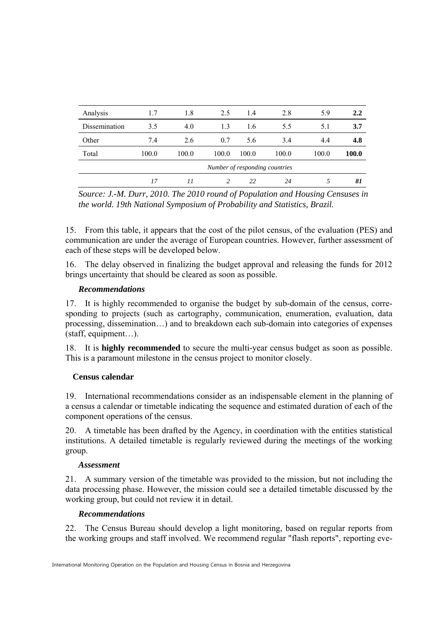| Analysis      | 1.7   | 1.8   | 2.5           | 1.4   | 2.8                            | 5.9   | 2.2   |
|---------------|-------|-------|---------------|-------|--------------------------------|-------|-------|
| Dissemination | 3.5   | 4.0   | 1.3           | 1.6   | 5.5                            | 5.1   | 3.7   |
| Other         | 7.4   | 2.6   | 0.7           | 5.6   | 3.4                            | 4.4   | 4.8   |
| Total         | 100.0 | 100.0 | 100.0         | 100.0 | 100.0                          | 100.0 | 100.0 |
|               |       |       |               |       | Number of responding countries |       |       |
|               | 17    | 11    | $\mathcal{P}$ | 22    | 24                             |       | 81    |

*Source: J.-M. Durr, 2010. The 2010 round of Population and Housing Censuses in the world. 19th National Symposium of Probability and Statistics, Brazil.* 

15. From this table, it appears that the cost of the pilot census, of the evaluation (PES) and communication are under the average of European countries. However, further assessment of each of these steps will be developed below.

16. The delay observed in finalizing the budget approval and releasing the funds for 2012 brings uncertainty that should be cleared as soon as possible.

# *Recommendations*

17. It is highly recommended to organise the budget by sub-domain of the census, corresponding to projects (such as cartography, communication, enumeration, evaluation, data processing, dissemination…) and to breakdown each sub-domain into categories of expenses (staff, equipment…).

18. It is **highly recommended** to secure the multi-year census budget as soon as possible. This is a paramount milestone in the census project to monitor closely.

# **Census calendar**

19. International recommendations consider as an indispensable element in the planning of a census a calendar or timetable indicating the sequence and estimated duration of each of the component operations of the census.

20. A timetable has been drafted by the Agency, in coordination with the entities statistical institutions. A detailed timetable is regularly reviewed during the meetings of the working group.

# *Assessment*

21. A summary version of the timetable was provided to the mission, but not including the data processing phase. However, the mission could see a detailed timetable discussed by the working group, but could not review it in detail.

# *Recommendations*

22. The Census Bureau should develop a light monitoring, based on regular reports from the working groups and staff involved. We recommend regular "flash reports", reporting eve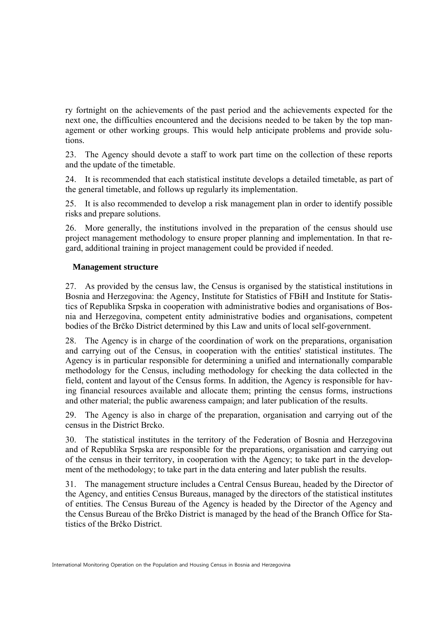ry fortnight on the achievements of the past period and the achievements expected for the next one, the difficulties encountered and the decisions needed to be taken by the top management or other working groups. This would help anticipate problems and provide solutions.

23. The Agency should devote a staff to work part time on the collection of these reports and the update of the timetable.

24. It is recommended that each statistical institute develops a detailed timetable, as part of the general timetable, and follows up regularly its implementation.

25. It is also recommended to develop a risk management plan in order to identify possible risks and prepare solutions.

26. More generally, the institutions involved in the preparation of the census should use project management methodology to ensure proper planning and implementation. In that regard, additional training in project management could be provided if needed.

#### **Management structure**

27. As provided by the census law, the Census is organised by the statistical institutions in Bosnia and Herzegovina: the Agency, Institute for Statistics of FBiH and Institute for Statistics of Republika Srpska in cooperation with administrative bodies and organisations of Bosnia and Herzegovina, competent entity administrative bodies and organisations, competent bodies of the Brčko District determined by this Law and units of local self-government.

28. The Agency is in charge of the coordination of work on the preparations, organisation and carrying out of the Census, in cooperation with the entities' statistical institutes. The Agency is in particular responsible for determining a unified and internationally comparable methodology for the Census, including methodology for checking the data collected in the field, content and layout of the Census forms. In addition, the Agency is responsible for having financial resources available and allocate them; printing the census forms, instructions and other material; the public awareness campaign; and later publication of the results.

29. The Agency is also in charge of the preparation, organisation and carrying out of the census in the District Brcko.

30. The statistical institutes in the territory of the Federation of Bosnia and Herzegovina and of Republika Srpska are responsible for the preparations, organisation and carrying out of the census in their territory, in cooperation with the Agency; to take part in the development of the methodology; to take part in the data entering and later publish the results.

31. The management structure includes a Central Census Bureau, headed by the Director of the Agency, and entities Census Bureaus, managed by the directors of the statistical institutes of entities. The Census Bureau of the Agency is headed by the Director of the Agency and the Census Bureau of the Brčko District is managed by the head of the Branch Office for Statistics of the Brčko District.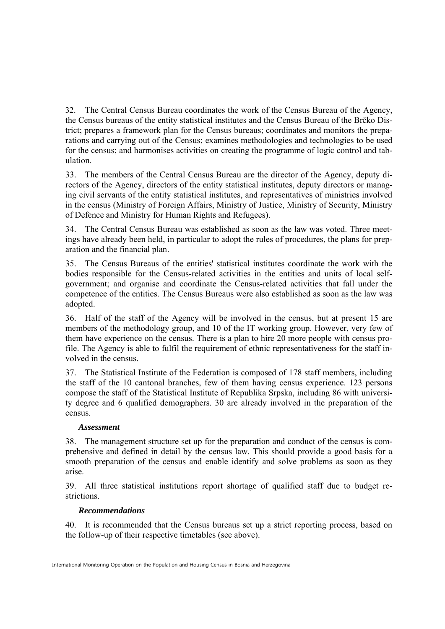32. The Central Census Bureau coordinates the work of the Census Bureau of the Agency, the Census bureaus of the entity statistical institutes and the Census Bureau of the Brčko District; prepares a framework plan for the Census bureaus; coordinates and monitors the preparations and carrying out of the Census; examines methodologies and technologies to be used for the census; and harmonises activities on creating the programme of logic control and tabulation.

33. The members of the Central Census Bureau are the director of the Agency, deputy directors of the Agency, directors of the entity statistical institutes, deputy directors or managing civil servants of the entity statistical institutes, and representatives of ministries involved in the census (Ministry of Foreign Affairs, Ministry of Justice, Ministry of Security, Ministry of Defence and Ministry for Human Rights and Refugees).

34. The Central Census Bureau was established as soon as the law was voted. Three meetings have already been held, in particular to adopt the rules of procedures, the plans for preparation and the financial plan.

35. The Census Bureaus of the entities' statistical institutes coordinate the work with the bodies responsible for the Census-related activities in the entities and units of local selfgovernment; and organise and coordinate the Census-related activities that fall under the competence of the entities. The Census Bureaus were also established as soon as the law was adopted.

36. Half of the staff of the Agency will be involved in the census, but at present 15 are members of the methodology group, and 10 of the IT working group. However, very few of them have experience on the census. There is a plan to hire 20 more people with census profile. The Agency is able to fulfil the requirement of ethnic representativeness for the staff involved in the census.

37. The Statistical Institute of the Federation is composed of 178 staff members, including the staff of the 10 cantonal branches, few of them having census experience. 123 persons compose the staff of the Statistical Institute of Republika Srpska, including 86 with university degree and 6 qualified demographers. 30 are already involved in the preparation of the census.

# *Assessment*

38. The management structure set up for the preparation and conduct of the census is comprehensive and defined in detail by the census law. This should provide a good basis for a smooth preparation of the census and enable identify and solve problems as soon as they arise.

39. All three statistical institutions report shortage of qualified staff due to budget restrictions.

# *Recommendations*

40. It is recommended that the Census bureaus set up a strict reporting process, based on the follow-up of their respective timetables (see above).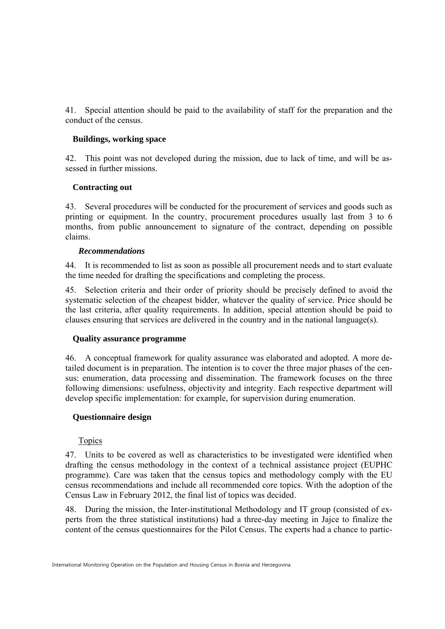41. Special attention should be paid to the availability of staff for the preparation and the conduct of the census.

# **Buildings, working space**

42. This point was not developed during the mission, due to lack of time, and will be assessed in further missions.

# **Contracting out**

43. Several procedures will be conducted for the procurement of services and goods such as printing or equipment. In the country, procurement procedures usually last from 3 to 6 months, from public announcement to signature of the contract, depending on possible claims.

# *Recommendations*

44. It is recommended to list as soon as possible all procurement needs and to start evaluate the time needed for drafting the specifications and completing the process.

45. Selection criteria and their order of priority should be precisely defined to avoid the systematic selection of the cheapest bidder, whatever the quality of service. Price should be the last criteria, after quality requirements. In addition, special attention should be paid to clauses ensuring that services are delivered in the country and in the national language(s).

# **Quality assurance programme**

46. A conceptual framework for quality assurance was elaborated and adopted. A more detailed document is in preparation. The intention is to cover the three major phases of the census: enumeration, data processing and dissemination. The framework focuses on the three following dimensions: usefulness, objectivity and integrity. Each respective department will develop specific implementation: for example, for supervision during enumeration.

# **Questionnaire design**

# Topics

47. Units to be covered as well as characteristics to be investigated were identified when drafting the census methodology in the context of a technical assistance project (EUPHC programme). Care was taken that the census topics and methodology comply with the EU census recommendations and include all recommended core topics. With the adoption of the Census Law in February 2012, the final list of topics was decided.

48. During the mission, the Inter-institutional Methodology and IT group (consisted of experts from the three statistical institutions) had a three-day meeting in Jajce to finalize the content of the census questionnaires for the Pilot Census. The experts had a chance to partic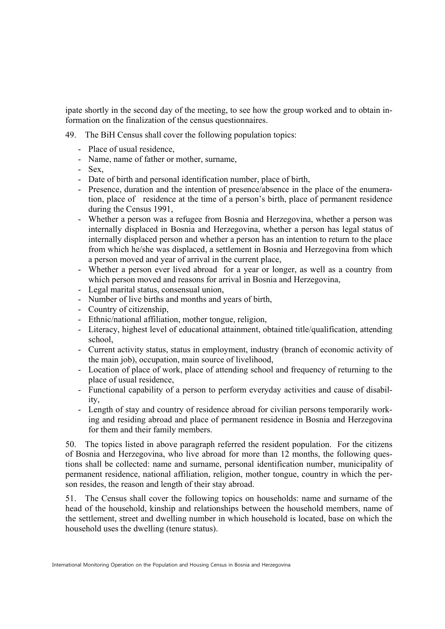ipate shortly in the second day of the meeting, to see how the group worked and to obtain information on the finalization of the census questionnaires.

- 49. The BiH Census shall cover the following population topics:
	- Place of usual residence
	- Name, name of father or mother, surname,

- Sex,

- Date of birth and personal identification number, place of birth,
- Presence, duration and the intention of presence/absence in the place of the enumeration, place of residence at the time of a person's birth, place of permanent residence during the Census 1991,
- Whether a person was a refugee from Bosnia and Herzegovina, whether a person was internally displaced in Bosnia and Herzegovina, whether a person has legal status of internally displaced person and whether a person has an intention to return to the place from which he/she was displaced, a settlement in Bosnia and Herzegovina from which a person moved and year of arrival in the current place,
- Whether a person ever lived abroad for a year or longer, as well as a country from which person moved and reasons for arrival in Bosnia and Herzegovina,
- Legal marital status, consensual union,
- Number of live births and months and years of birth,
- Country of citizenship,
- Ethnic/national affiliation, mother tongue, religion,
- Literacy, highest level of educational attainment, obtained title/qualification, attending school,
- Current activity status, status in employment, industry (branch of economic activity of the main job), occupation, main source of livelihood,
- Location of place of work, place of attending school and frequency of returning to the place of usual residence,
- Functional capability of a person to perform everyday activities and cause of disability,
- Length of stay and country of residence abroad for civilian persons temporarily working and residing abroad and place of permanent residence in Bosnia and Herzegovina for them and their family members.

50. The topics listed in above paragraph referred the resident population. For the citizens of Bosnia and Herzegovina, who live abroad for more than 12 months, the following questions shall be collected: name and surname, personal identification number, municipality of permanent residence, national affiliation, religion, mother tongue, country in which the person resides, the reason and length of their stay abroad.

51. The Census shall cover the following topics on households: name and surname of the head of the household, kinship and relationships between the household members, name of the settlement, street and dwelling number in which household is located, base on which the household uses the dwelling (tenure status).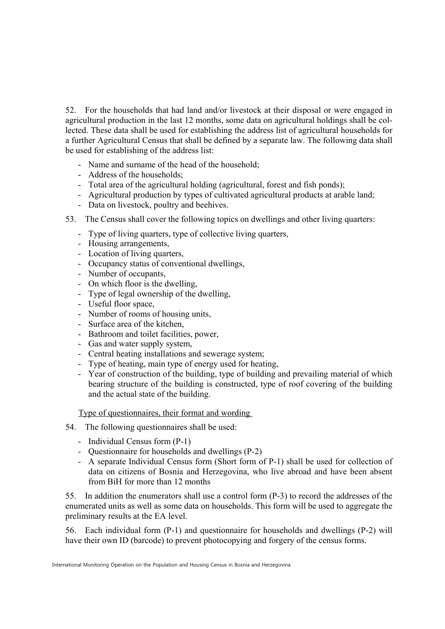52. For the households that had land and/or livestock at their disposal or were engaged in agricultural production in the last 12 months, some data on agricultural holdings shall be collected. These data shall be used for establishing the address list of agricultural households for a further Agricultural Census that shall be defined by a separate law. The following data shall be used for establishing of the address list:

- Name and surname of the head of the household;
- Address of the households;
- Total area of the agricultural holding (agricultural, forest and fish ponds);
- Agricultural production by types of cultivated agricultural products at arable land;
- Data on livestock, poultry and beehives.
- 53. The Census shall cover the following topics on dwellings and other living quarters:
	- Type of living quarters, type of collective living quarters,
	- Housing arrangements,
	- Location of living quarters,
	- Occupancy status of conventional dwellings,
	- Number of occupants,
	- On which floor is the dwelling,
	- Type of legal ownership of the dwelling,
	- Useful floor space,
	- Number of rooms of housing units,
	- Surface area of the kitchen,
	- Bathroom and toilet facilities, power,
	- Gas and water supply system,
	- Central heating installations and sewerage system;
	- Type of heating, main type of energy used for heating,
	- Year of construction of the building, type of building and prevailing material of which bearing structure of the building is constructed, type of roof covering of the building and the actual state of the building.

Type of questionnaires, their format and wording

- 54. The following questionnaires shall be used:
	- Individual Census form (P-1)
	- Questionnaire for households and dwellings (P-2)
	- A separate Individual Census form (Short form of P-1) shall be used for collection of data on citizens of Bosnia and Herzegovina, who live abroad and have been absent from BiH for more than 12 months

55. In addition the enumerators shall use a control form (P-3) to record the addresses of the enumerated units as well as some data on households. This form will be used to aggregate the preliminary results at the EA level.

56. Each individual form (P-1) and questionnaire for households and dwellings (P-2) will have their own ID (barcode) to prevent photocopying and forgery of the census forms.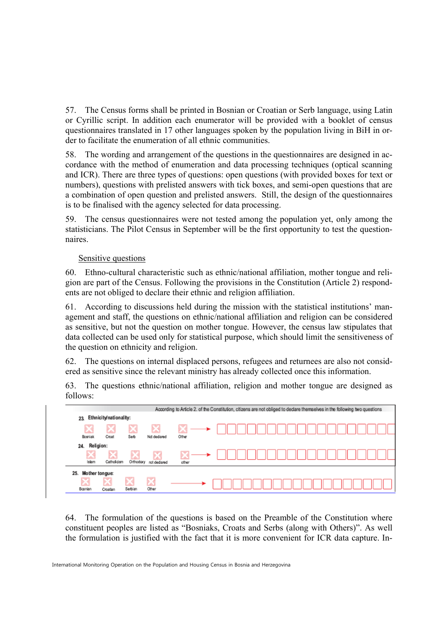57. The Census forms shall be printed in Bosnian or Croatian or Serb language, using Latin or Cyrillic script. In addition each enumerator will be provided with a booklet of census questionnaires translated in 17 other languages spoken by the population living in BiH in order to facilitate the enumeration of all ethnic communities.

58. The wording and arrangement of the questions in the questionnaires are designed in accordance with the method of enumeration and data processing techniques (optical scanning and ICR). There are three types of questions: open questions (with provided boxes for text or numbers), questions with prelisted answers with tick boxes, and semi-open questions that are a combination of open question and prelisted answers. Still, the design of the questionnaires is to be finalised with the agency selected for data processing.

59. The census questionnaires were not tested among the population yet, only among the statisticians. The Pilot Census in September will be the first opportunity to test the questionnaires.

# Sensitive questions

60. Ethno-cultural characteristic such as ethnic/national affiliation, mother tongue and religion are part of the Census. Following the provisions in the Constitution (Article 2) respondents are not obliged to declare their ethnic and religion affiliation.

61. According to discussions held during the mission with the statistical institutions' management and staff, the questions on ethnic/national affiliation and religion can be considered as sensitive, but not the question on mother tongue. However, the census law stipulates that data collected can be used only for statistical purpose, which should limit the sensitiveness of the question on ethnicity and religion.

62. The questions on internal displaced persons, refugees and returnees are also not considered as sensitive since the relevant ministry has already collected once this information.

63. The questions ethnic/national affiliation, religion and mother tongue are designed as follows:



64. The formulation of the questions is based on the Preamble of the Constitution where constituent peoples are listed as "Bosniaks, Croats and Serbs (along with Others)". As well the formulation is justified with the fact that it is more convenient for ICR data capture. In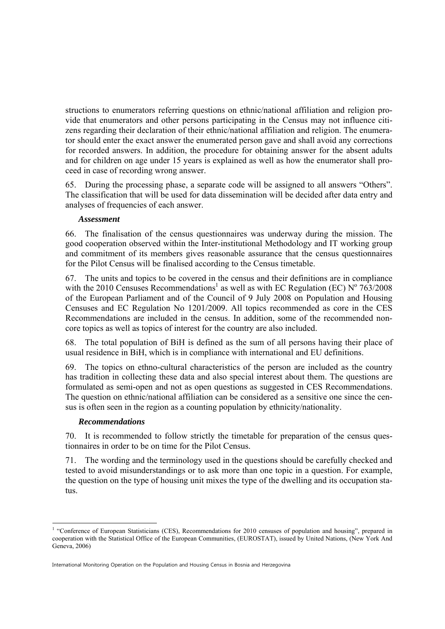structions to enumerators referring questions on ethnic/national affiliation and religion provide that enumerators and other persons participating in the Census may not influence citizens regarding their declaration of their ethnic/national affiliation and religion. The enumerator should enter the exact answer the enumerated person gave and shall avoid any corrections for recorded answers. In addition, the procedure for obtaining answer for the absent adults and for children on age under 15 years is explained as well as how the enumerator shall proceed in case of recording wrong answer.

65. During the processing phase, a separate code will be assigned to all answers "Others". The classification that will be used for data dissemination will be decided after data entry and analyses of frequencies of each answer.

# *Assessment*

66. The finalisation of the census questionnaires was underway during the mission. The good cooperation observed within the Inter-institutional Methodology and IT working group and commitment of its members gives reasonable assurance that the census questionnaires for the Pilot Census will be finalised according to the Census timetable.

67. The units and topics to be covered in the census and their definitions are in compliance with the 2010 Censuses Recommendations<sup>1</sup> as well as with EC Regulation (EC)  $N^{\circ}$  763/2008 of the European Parliament and of the Council of 9 July 2008 on Population and Housing Censuses and EC Regulation No 1201/2009. All topics recommended as core in the CES Recommendations are included in the census. In addition, some of the recommended noncore topics as well as topics of interest for the country are also included.

68. The total population of BiH is defined as the sum of all persons having their place of usual residence in BiH, which is in compliance with international and EU definitions.

69. The topics on ethno-cultural characteristics of the person are included as the country has tradition in collecting these data and also special interest about them. The questions are formulated as semi-open and not as open questions as suggested in CES Recommendations. The question on ethnic/national affiliation can be considered as a sensitive one since the census is often seen in the region as a counting population by ethnicity/nationality.

# *Recommendations*

70. It is recommended to follow strictly the timetable for preparation of the census questionnaires in order to be on time for the Pilot Census.

71. The wording and the terminology used in the questions should be carefully checked and tested to avoid misunderstandings or to ask more than one topic in a question. For example, the question on the type of housing unit mixes the type of the dwelling and its occupation status.

<sup>-</sup><sup>1</sup> "Conference of European Statisticians (CES), Recommendations for 2010 censuses of population and housing", prepared in cooperation with the Statistical Office of the European Communities, (EUROSTAT), issued by United Nations, (New York And Geneva, 2006)

International Monitoring Operation on the Population and Housing Census in Bosnia and Herzegovina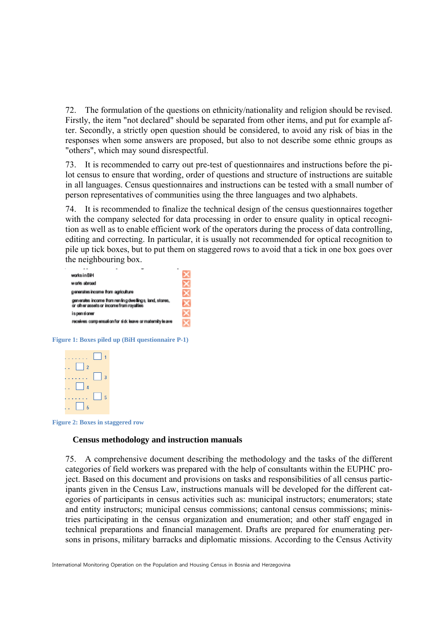72. The formulation of the questions on ethnicity/nationality and religion should be revised. Firstly, the item "not declared" should be separated from other items, and put for example after. Secondly, a strictly open question should be considered, to avoid any risk of bias in the responses when some answers are proposed, but also to not describe some ethnic groups as "others", which may sound disrespectful.

73. It is recommended to carry out pre-test of questionnaires and instructions before the pilot census to ensure that wording, order of questions and structure of instructions are suitable in all languages. Census questionnaires and instructions can be tested with a small number of person representatives of communities using the three languages and two alphabets.

74. It is recommended to finalize the technical design of the census questionnaires together with the company selected for data processing in order to ensure quality in optical recognition as well as to enable efficient work of the operators during the process of data controlling, editing and correcting. In particular, it is usually not recommended for optical recognition to pile up tick boxes, but to put them on staggered rows to avoid that a tick in one box goes over the neighbouring box.

| . .                                                                                                 | ۰ |  |  |
|-----------------------------------------------------------------------------------------------------|---|--|--|
| works in BiH                                                                                        |   |  |  |
| works abroad                                                                                        |   |  |  |
| generates income from agriculture                                                                   |   |  |  |
| generates income from ren in g dwellings, land, stores,<br>or other assets or income from royalties |   |  |  |
| is pen sioner                                                                                       |   |  |  |
| receives compensation for sid: leave or maternity leave                                             |   |  |  |

**Figure 1: Boxes piled up (BiH questionnaire P-1)** 



**Figure 2: Boxes in staggered row** 

#### **Census methodology and instruction manuals**

75. A comprehensive document describing the methodology and the tasks of the different categories of field workers was prepared with the help of consultants within the EUPHC project. Based on this document and provisions on tasks and responsibilities of all census participants given in the Census Law, instructions manuals will be developed for the different categories of participants in census activities such as: municipal instructors; enumerators; state and entity instructors; municipal census commissions; cantonal census commissions; ministries participating in the census organization and enumeration; and other staff engaged in technical preparations and financial management. Drafts are prepared for enumerating persons in prisons, military barracks and diplomatic missions. According to the Census Activity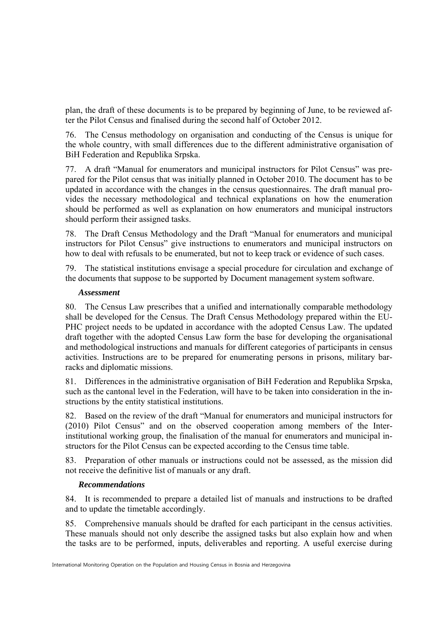plan, the draft of these documents is to be prepared by beginning of June, to be reviewed after the Pilot Census and finalised during the second half of October 2012.

76. The Census methodology on organisation and conducting of the Census is unique for the whole country, with small differences due to the different administrative organisation of BiH Federation and Republika Srpska.

77. A draft "Manual for enumerators and municipal instructors for Pilot Census" was prepared for the Pilot census that was initially planned in October 2010. The document has to be updated in accordance with the changes in the census questionnaires. The draft manual provides the necessary methodological and technical explanations on how the enumeration should be performed as well as explanation on how enumerators and municipal instructors should perform their assigned tasks.

78. The Draft Census Methodology and the Draft "Manual for enumerators and municipal instructors for Pilot Census" give instructions to enumerators and municipal instructors on how to deal with refusals to be enumerated, but not to keep track or evidence of such cases.

79. The statistical institutions envisage a special procedure for circulation and exchange of the documents that suppose to be supported by Document management system software.

#### *Assessment*

80. The Census Law prescribes that a unified and internationally comparable methodology shall be developed for the Census. The Draft Census Methodology prepared within the EU-PHC project needs to be updated in accordance with the adopted Census Law. The updated draft together with the adopted Census Law form the base for developing the organisational and methodological instructions and manuals for different categories of participants in census activities. Instructions are to be prepared for enumerating persons in prisons, military barracks and diplomatic missions.

81. Differences in the administrative organisation of BiH Federation and Republika Srpska, such as the cantonal level in the Federation, will have to be taken into consideration in the instructions by the entity statistical institutions.

82. Based on the review of the draft "Manual for enumerators and municipal instructors for (2010) Pilot Census" and on the observed cooperation among members of the Interinstitutional working group, the finalisation of the manual for enumerators and municipal instructors for the Pilot Census can be expected according to the Census time table.

83. Preparation of other manuals or instructions could not be assessed, as the mission did not receive the definitive list of manuals or any draft.

# *Recommendations*

84. It is recommended to prepare a detailed list of manuals and instructions to be drafted and to update the timetable accordingly.

85. Comprehensive manuals should be drafted for each participant in the census activities. These manuals should not only describe the assigned tasks but also explain how and when the tasks are to be performed, inputs, deliverables and reporting. A useful exercise during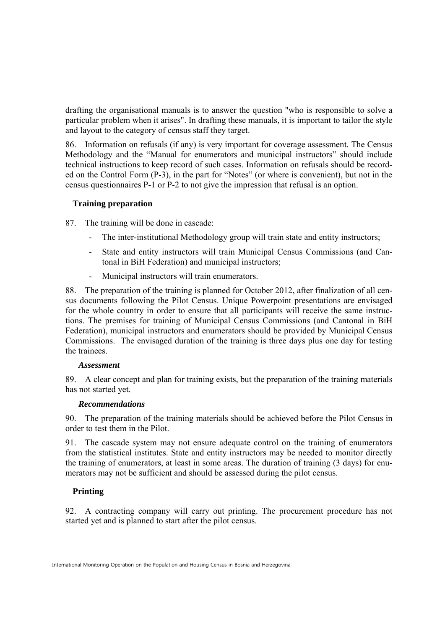drafting the organisational manuals is to answer the question "who is responsible to solve a particular problem when it arises". In drafting these manuals, it is important to tailor the style and layout to the category of census staff they target.

86. Information on refusals (if any) is very important for coverage assessment. The Census Methodology and the "Manual for enumerators and municipal instructors" should include technical instructions to keep record of such cases. Information on refusals should be recorded on the Control Form (P-3), in the part for "Notes" (or where is convenient), but not in the census questionnaires P-1 or P-2 to not give the impression that refusal is an option.

# **Training preparation**

87. The training will be done in cascade:

- The inter-institutional Methodology group will train state and entity instructors;
- State and entity instructors will train Municipal Census Commissions (and Cantonal in BiH Federation) and municipal instructors;
- Municipal instructors will train enumerators.

88. The preparation of the training is planned for October 2012, after finalization of all census documents following the Pilot Census. Unique Powerpoint presentations are envisaged for the whole country in order to ensure that all participants will receive the same instructions. The premises for training of Municipal Census Commissions (and Cantonal in BiH Federation), municipal instructors and enumerators should be provided by Municipal Census Commissions. The envisaged duration of the training is three days plus one day for testing the trainees.

# *Assessment*

89. A clear concept and plan for training exists, but the preparation of the training materials has not started yet.

# *Recommendations*

90. The preparation of the training materials should be achieved before the Pilot Census in order to test them in the Pilot.

91. The cascade system may not ensure adequate control on the training of enumerators from the statistical institutes. State and entity instructors may be needed to monitor directly the training of enumerators, at least in some areas. The duration of training (3 days) for enumerators may not be sufficient and should be assessed during the pilot census.

# **Printing**

92. A contracting company will carry out printing. The procurement procedure has not started yet and is planned to start after the pilot census.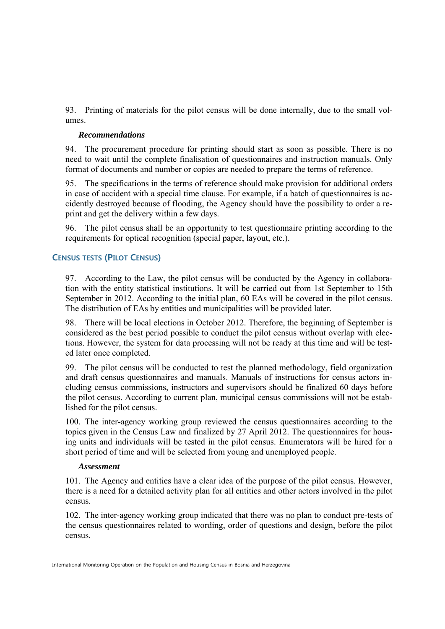93. Printing of materials for the pilot census will be done internally, due to the small volumes.

#### *Recommendations*

94. The procurement procedure for printing should start as soon as possible. There is no need to wait until the complete finalisation of questionnaires and instruction manuals. Only format of documents and number or copies are needed to prepare the terms of reference.

95. The specifications in the terms of reference should make provision for additional orders in case of accident with a special time clause. For example, if a batch of questionnaires is accidently destroyed because of flooding, the Agency should have the possibility to order a reprint and get the delivery within a few days.

96. The pilot census shall be an opportunity to test questionnaire printing according to the requirements for optical recognition (special paper, layout, etc.).

# **CENSUS TESTS (PILOT CENSUS)**

97. According to the Law, the pilot census will be conducted by the Agency in collaboration with the entity statistical institutions. It will be carried out from 1st September to 15th September in 2012. According to the initial plan, 60 EAs will be covered in the pilot census. The distribution of EAs by entities and municipalities will be provided later.

98. There will be local elections in October 2012. Therefore, the beginning of September is considered as the best period possible to conduct the pilot census without overlap with elections. However, the system for data processing will not be ready at this time and will be tested later once completed.

99. The pilot census will be conducted to test the planned methodology, field organization and draft census questionnaires and manuals. Manuals of instructions for census actors including census commissions, instructors and supervisors should be finalized 60 days before the pilot census. According to current plan, municipal census commissions will not be established for the pilot census.

100. The inter-agency working group reviewed the census questionnaires according to the topics given in the Census Law and finalized by 27 April 2012. The questionnaires for housing units and individuals will be tested in the pilot census. Enumerators will be hired for a short period of time and will be selected from young and unemployed people.

#### *Assessment*

101. The Agency and entities have a clear idea of the purpose of the pilot census. However, there is a need for a detailed activity plan for all entities and other actors involved in the pilot census.

102. The inter-agency working group indicated that there was no plan to conduct pre-tests of the census questionnaires related to wording, order of questions and design, before the pilot census.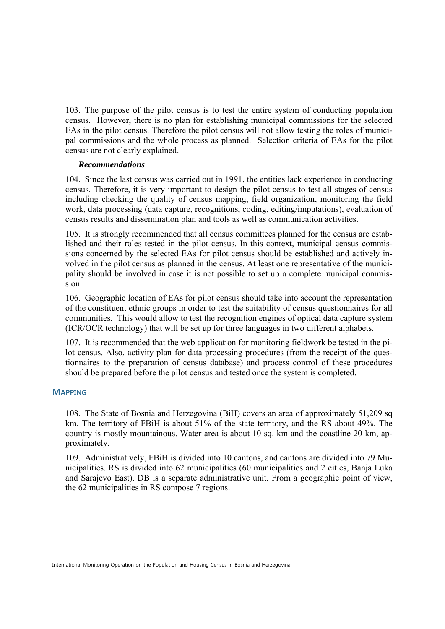103. The purpose of the pilot census is to test the entire system of conducting population census. However, there is no plan for establishing municipal commissions for the selected EAs in the pilot census. Therefore the pilot census will not allow testing the roles of municipal commissions and the whole process as planned. Selection criteria of EAs for the pilot census are not clearly explained.

#### *Recommendations*

104. Since the last census was carried out in 1991, the entities lack experience in conducting census. Therefore, it is very important to design the pilot census to test all stages of census including checking the quality of census mapping, field organization, monitoring the field work, data processing (data capture, recognitions, coding, editing/imputations), evaluation of census results and dissemination plan and tools as well as communication activities.

105. It is strongly recommended that all census committees planned for the census are established and their roles tested in the pilot census. In this context, municipal census commissions concerned by the selected EAs for pilot census should be established and actively involved in the pilot census as planned in the census. At least one representative of the municipality should be involved in case it is not possible to set up a complete municipal commission.

106. Geographic location of EAs for pilot census should take into account the representation of the constituent ethnic groups in order to test the suitability of census questionnaires for all communities. This would allow to test the recognition engines of optical data capture system (ICR/OCR technology) that will be set up for three languages in two different alphabets.

107. It is recommended that the web application for monitoring fieldwork be tested in the pilot census. Also, activity plan for data processing procedures (from the receipt of the questionnaires to the preparation of census database) and process control of these procedures should be prepared before the pilot census and tested once the system is completed.

#### **MAPPING**

108. The State of Bosnia and Herzegovina (BiH) covers an area of approximately 51,209 sq km. The territory of FBiH is about 51% of the state territory, and the RS about 49%. The country is mostly mountainous. Water area is about 10 sq. km and the coastline 20 km, approximately.

109. Administratively, FBiH is divided into 10 cantons, and cantons are divided into 79 Municipalities. RS is divided into 62 municipalities (60 municipalities and 2 cities, Banja Luka and Sarajevo East). DB is a separate administrative unit. From a geographic point of view, the 62 municipalities in RS compose 7 regions.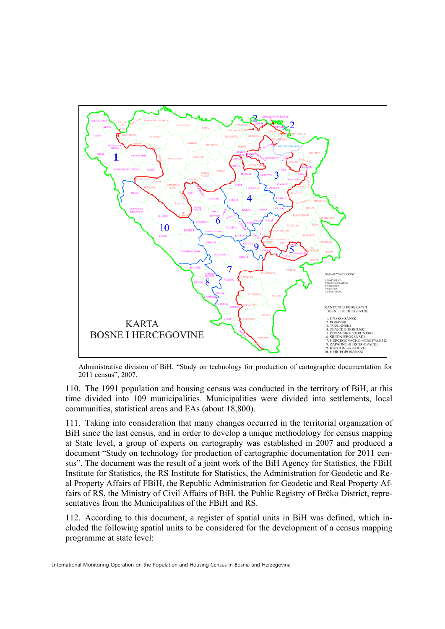

Administrative division of BiH, "Study on technology for production of cartographic documentation for 2011 census", 2007.

110. The 1991 population and housing census was conducted in the territory of BiH, at this time divided into 109 municipalities. Municipalities were divided into settlements, local communities, statistical areas and EAs (about 18,800).

111. Taking into consideration that many changes occurred in the territorial organization of BiH since the last census, and in order to develop a unique methodology for census mapping at State level, a group of experts on cartography was established in 2007 and produced a document "Study on technology for production of cartographic documentation for 2011 census". The document was the result of a joint work of the BiH Agency for Statistics, the FBiH Institute for Statistics, the RS Institute for Statistics, the Administration for Geodetic and Real Property Affairs of FBiH, the Republic Administration for Geodetic and Real Property Affairs of RS, the Ministry of Civil Affairs of BiH, the Public Registry of Brčko District, representatives from the Municipalities of the FBiH and RS.

112. According to this document, a register of spatial units in BiH was defined, which included the following spatial units to be considered for the development of a census mapping programme at state level: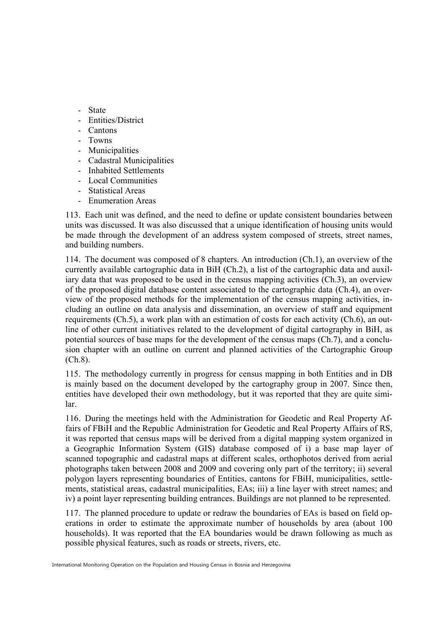- State
- Entities/District
- Cantons
- Towns
- Municipalities
- Cadastral Municipalities
- Inhabited Settlements
- Local Communities
- Statistical Areas
- Enumeration Areas

113. Each unit was defined, and the need to define or update consistent boundaries between units was discussed. It was also discussed that a unique identification of housing units would be made through the development of an address system composed of streets, street names, and building numbers.

114. The document was composed of 8 chapters. An introduction (Ch.1), an overview of the currently available cartographic data in BiH (Ch.2), a list of the cartographic data and auxiliary data that was proposed to be used in the census mapping activities (Ch.3), an overview of the proposed digital database content associated to the cartographic data (Ch.4), an overview of the proposed methods for the implementation of the census mapping activities, including an outline on data analysis and dissemination, an overview of staff and equipment requirements (Ch.5), a work plan with an estimation of costs for each activity (Ch.6), an outline of other current initiatives related to the development of digital cartography in BiH, as potential sources of base maps for the development of the census maps (Ch.7), and a conclusion chapter with an outline on current and planned activities of the Cartographic Group (Ch.8).

115. The methodology currently in progress for census mapping in both Entities and in DB is mainly based on the document developed by the cartography group in 2007. Since then, entities have developed their own methodology, but it was reported that they are quite similar.

116. During the meetings held with the Administration for Geodetic and Real Property Affairs of FBiH and the Republic Administration for Geodetic and Real Property Affairs of RS, it was reported that census maps will be derived from a digital mapping system organized in a Geographic Information System (GIS) database composed of i) a base map layer of scanned topographic and cadastral maps at different scales, orthophotos derived from aerial photographs taken between 2008 and 2009 and covering only part of the territory; ii) several polygon layers representing boundaries of Entities, cantons for FBiH, municipalities, settlements, statistical areas, cadastral municipalities, EAs; iii) a line layer with street names; and iv) a point layer representing building entrances. Buildings are not planned to be represented.

117. The planned procedure to update or redraw the boundaries of EAs is based on field operations in order to estimate the approximate number of households by area (about 100 households). It was reported that the EA boundaries would be drawn following as much as possible physical features, such as roads or streets, rivers, etc.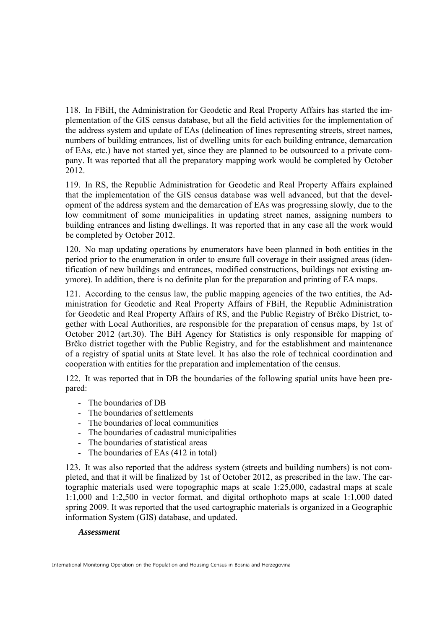118. In FBiH, the Administration for Geodetic and Real Property Affairs has started the implementation of the GIS census database, but all the field activities for the implementation of the address system and update of EAs (delineation of lines representing streets, street names, numbers of building entrances, list of dwelling units for each building entrance, demarcation of EAs, etc.) have not started yet, since they are planned to be outsourced to a private company. It was reported that all the preparatory mapping work would be completed by October 2012.

119. In RS, the Republic Administration for Geodetic and Real Property Affairs explained that the implementation of the GIS census database was well advanced, but that the development of the address system and the demarcation of EAs was progressing slowly, due to the low commitment of some municipalities in updating street names, assigning numbers to building entrances and listing dwellings. It was reported that in any case all the work would be completed by October 2012.

120. No map updating operations by enumerators have been planned in both entities in the period prior to the enumeration in order to ensure full coverage in their assigned areas (identification of new buildings and entrances, modified constructions, buildings not existing anymore). In addition, there is no definite plan for the preparation and printing of EA maps.

121. According to the census law, the public mapping agencies of the two entities, the Administration for Geodetic and Real Property Affairs of FBiH, the Republic Administration for Geodetic and Real Property Affairs of RS, and the Public Registry of Brčko District, together with Local Authorities, are responsible for the preparation of census maps, by 1st of October 2012 (art.30). The BiH Agency for Statistics is only responsible for mapping of Brčko district together with the Public Registry, and for the establishment and maintenance of a registry of spatial units at State level. It has also the role of technical coordination and cooperation with entities for the preparation and implementation of the census.

122. It was reported that in DB the boundaries of the following spatial units have been prepared:

- The boundaries of DB
- The boundaries of settlements
- The boundaries of local communities
- The boundaries of cadastral municipalities
- The boundaries of statistical areas
- The boundaries of EAs (412 in total)

123. It was also reported that the address system (streets and building numbers) is not completed, and that it will be finalized by 1st of October 2012, as prescribed in the law. The cartographic materials used were topographic maps at scale 1:25,000, cadastral maps at scale 1:1,000 and 1:2,500 in vector format, and digital orthophoto maps at scale 1:1,000 dated spring 2009. It was reported that the used cartographic materials is organized in a Geographic information System (GIS) database, and updated.

#### *Assessment*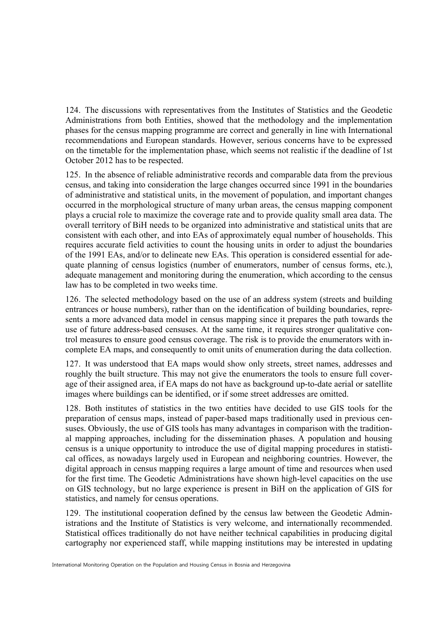124. The discussions with representatives from the Institutes of Statistics and the Geodetic Administrations from both Entities, showed that the methodology and the implementation phases for the census mapping programme are correct and generally in line with International recommendations and European standards. However, serious concerns have to be expressed on the timetable for the implementation phase, which seems not realistic if the deadline of 1st October 2012 has to be respected.

125. In the absence of reliable administrative records and comparable data from the previous census, and taking into consideration the large changes occurred since 1991 in the boundaries of administrative and statistical units, in the movement of population, and important changes occurred in the morphological structure of many urban areas, the census mapping component plays a crucial role to maximize the coverage rate and to provide quality small area data. The overall territory of BiH needs to be organized into administrative and statistical units that are consistent with each other, and into EAs of approximately equal number of households. This requires accurate field activities to count the housing units in order to adjust the boundaries of the 1991 EAs, and/or to delineate new EAs. This operation is considered essential for adequate planning of census logistics (number of enumerators, number of census forms, etc.), adequate management and monitoring during the enumeration, which according to the census law has to be completed in two weeks time.

126. The selected methodology based on the use of an address system (streets and building entrances or house numbers), rather than on the identification of building boundaries, represents a more advanced data model in census mapping since it prepares the path towards the use of future address-based censuses. At the same time, it requires stronger qualitative control measures to ensure good census coverage. The risk is to provide the enumerators with incomplete EA maps, and consequently to omit units of enumeration during the data collection.

127. It was understood that EA maps would show only streets, street names, addresses and roughly the built structure. This may not give the enumerators the tools to ensure full coverage of their assigned area, if EA maps do not have as background up-to-date aerial or satellite images where buildings can be identified, or if some street addresses are omitted.

128. Both institutes of statistics in the two entities have decided to use GIS tools for the preparation of census maps, instead of paper-based maps traditionally used in previous censuses. Obviously, the use of GIS tools has many advantages in comparison with the traditional mapping approaches, including for the dissemination phases. A population and housing census is a unique opportunity to introduce the use of digital mapping procedures in statistical offices, as nowadays largely used in European and neighboring countries. However, the digital approach in census mapping requires a large amount of time and resources when used for the first time. The Geodetic Administrations have shown high-level capacities on the use on GIS technology, but no large experience is present in BiH on the application of GIS for statistics, and namely for census operations.

129. The institutional cooperation defined by the census law between the Geodetic Administrations and the Institute of Statistics is very welcome, and internationally recommended. Statistical offices traditionally do not have neither technical capabilities in producing digital cartography nor experienced staff, while mapping institutions may be interested in updating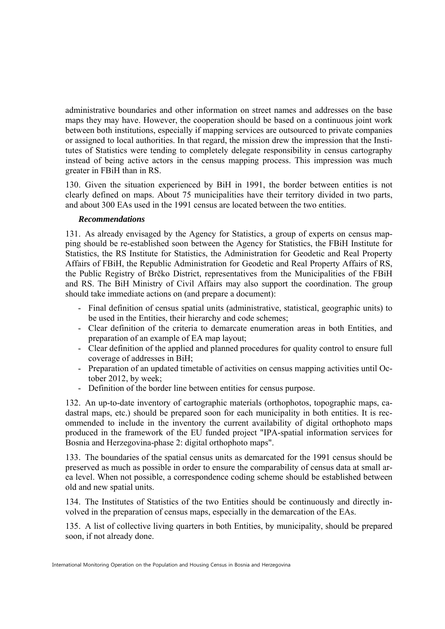administrative boundaries and other information on street names and addresses on the base maps they may have. However, the cooperation should be based on a continuous joint work between both institutions, especially if mapping services are outsourced to private companies or assigned to local authorities. In that regard, the mission drew the impression that the Institutes of Statistics were tending to completely delegate responsibility in census cartography instead of being active actors in the census mapping process. This impression was much greater in FBiH than in RS.

130. Given the situation experienced by BiH in 1991, the border between entities is not clearly defined on maps. About 75 municipalities have their territory divided in two parts, and about 300 EAs used in the 1991 census are located between the two entities.

#### *Recommendations*

131. As already envisaged by the Agency for Statistics, a group of experts on census mapping should be re-established soon between the Agency for Statistics, the FBiH Institute for Statistics, the RS Institute for Statistics, the Administration for Geodetic and Real Property Affairs of FBiH, the Republic Administration for Geodetic and Real Property Affairs of RS, the Public Registry of Brčko District, representatives from the Municipalities of the FBiH and RS. The BiH Ministry of Civil Affairs may also support the coordination. The group should take immediate actions on (and prepare a document):

- Final definition of census spatial units (administrative, statistical, geographic units) to be used in the Entities, their hierarchy and code schemes;
- Clear definition of the criteria to demarcate enumeration areas in both Entities, and preparation of an example of EA map layout;
- Clear definition of the applied and planned procedures for quality control to ensure full coverage of addresses in BiH;
- Preparation of an updated timetable of activities on census mapping activities until October 2012, by week;
- Definition of the border line between entities for census purpose.

132. An up-to-date inventory of cartographic materials (orthophotos, topographic maps, cadastral maps, etc.) should be prepared soon for each municipality in both entities. It is recommended to include in the inventory the current availability of digital orthophoto maps produced in the framework of the EU funded project "IPA-spatial information services for Bosnia and Herzegovina-phase 2: digital orthophoto maps".

133. The boundaries of the spatial census units as demarcated for the 1991 census should be preserved as much as possible in order to ensure the comparability of census data at small area level. When not possible, a correspondence coding scheme should be established between old and new spatial units.

134. The Institutes of Statistics of the two Entities should be continuously and directly involved in the preparation of census maps, especially in the demarcation of the EAs.

135. A list of collective living quarters in both Entities, by municipality, should be prepared soon, if not already done.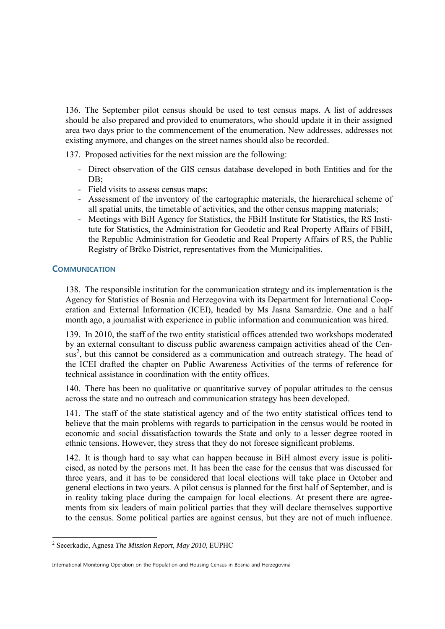136. The September pilot census should be used to test census maps. A list of addresses should be also prepared and provided to enumerators, who should update it in their assigned area two days prior to the commencement of the enumeration. New addresses, addresses not existing anymore, and changes on the street names should also be recorded.

137. Proposed activities for the next mission are the following:

- Direct observation of the GIS census database developed in both Entities and for the DB:
- Field visits to assess census maps;
- Assessment of the inventory of the cartographic materials, the hierarchical scheme of all spatial units, the timetable of activities, and the other census mapping materials;
- Meetings with BiH Agency for Statistics, the FBiH Institute for Statistics, the RS Institute for Statistics, the Administration for Geodetic and Real Property Affairs of FBiH, the Republic Administration for Geodetic and Real Property Affairs of RS, the Public Registry of Brčko District, representatives from the Municipalities.

#### **COMMUNICATION**

1

138. The responsible institution for the communication strategy and its implementation is the Agency for Statistics of Bosnia and Herzegovina with its Department for International Cooperation and External Information (ICEI), headed by Ms Jasna Samardzic. One and a half month ago, a journalist with experience in public information and communication was hired.

139. In 2010, the staff of the two entity statistical offices attended two workshops moderated by an external consultant to discuss public awareness campaign activities ahead of the Census<sup>2</sup>, but this cannot be considered as a communication and outreach strategy. The head of the ICEI drafted the chapter on Public Awareness Activities of the terms of reference for technical assistance in coordination with the entity offices.

140. There has been no qualitative or quantitative survey of popular attitudes to the census across the state and no outreach and communication strategy has been developed.

141. The staff of the state statistical agency and of the two entity statistical offices tend to believe that the main problems with regards to participation in the census would be rooted in economic and social dissatisfaction towards the State and only to a lesser degree rooted in ethnic tensions. However, they stress that they do not foresee significant problems.

142. It is though hard to say what can happen because in BiH almost every issue is politicised, as noted by the persons met. It has been the case for the census that was discussed for three years, and it has to be considered that local elections will take place in October and general elections in two years. A pilot census is planned for the first half of September, and is in reality taking place during the campaign for local elections. At present there are agreements from six leaders of main political parties that they will declare themselves supportive to the census. Some political parties are against census, but they are not of much influence.

<sup>2</sup> Secerkadic, Agnesa *The Mission Report, May 2010*, EUPHC

International Monitoring Operation on the Population and Housing Census in Bosnia and Herzegovina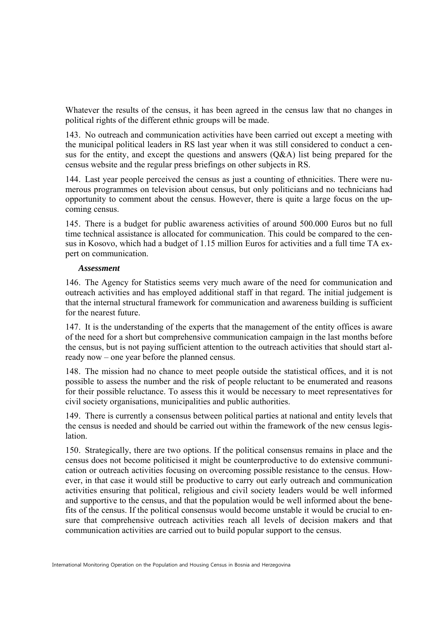Whatever the results of the census, it has been agreed in the census law that no changes in political rights of the different ethnic groups will be made.

143. No outreach and communication activities have been carried out except a meeting with the municipal political leaders in RS last year when it was still considered to conduct a census for the entity, and except the questions and answers  $(O&A)$  list being prepared for the census website and the regular press briefings on other subjects in RS.

144. Last year people perceived the census as just a counting of ethnicities. There were numerous programmes on television about census, but only politicians and no technicians had opportunity to comment about the census. However, there is quite a large focus on the upcoming census.

145. There is a budget for public awareness activities of around 500.000 Euros but no full time technical assistance is allocated for communication. This could be compared to the census in Kosovo, which had a budget of 1.15 million Euros for activities and a full time TA expert on communication.

#### *Assessment*

146. The Agency for Statistics seems very much aware of the need for communication and outreach activities and has employed additional staff in that regard. The initial judgement is that the internal structural framework for communication and awareness building is sufficient for the nearest future.

147. It is the understanding of the experts that the management of the entity offices is aware of the need for a short but comprehensive communication campaign in the last months before the census, but is not paying sufficient attention to the outreach activities that should start already now – one year before the planned census.

148. The mission had no chance to meet people outside the statistical offices, and it is not possible to assess the number and the risk of people reluctant to be enumerated and reasons for their possible reluctance. To assess this it would be necessary to meet representatives for civil society organisations, municipalities and public authorities.

149. There is currently a consensus between political parties at national and entity levels that the census is needed and should be carried out within the framework of the new census legislation.

150. Strategically, there are two options. If the political consensus remains in place and the census does not become politicised it might be counterproductive to do extensive communication or outreach activities focusing on overcoming possible resistance to the census. However, in that case it would still be productive to carry out early outreach and communication activities ensuring that political, religious and civil society leaders would be well informed and supportive to the census, and that the population would be well informed about the benefits of the census. If the political consensus would become unstable it would be crucial to ensure that comprehensive outreach activities reach all levels of decision makers and that communication activities are carried out to build popular support to the census.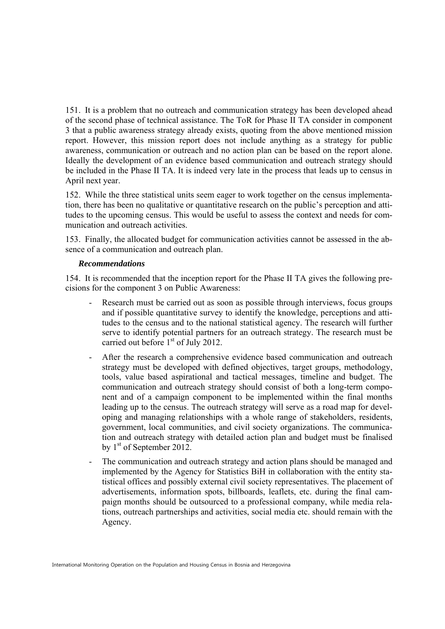151. It is a problem that no outreach and communication strategy has been developed ahead of the second phase of technical assistance. The ToR for Phase II TA consider in component 3 that a public awareness strategy already exists, quoting from the above mentioned mission report. However, this mission report does not include anything as a strategy for public awareness, communication or outreach and no action plan can be based on the report alone. Ideally the development of an evidence based communication and outreach strategy should be included in the Phase II TA. It is indeed very late in the process that leads up to census in April next year.

152. While the three statistical units seem eager to work together on the census implementation, there has been no qualitative or quantitative research on the public's perception and attitudes to the upcoming census. This would be useful to assess the context and needs for communication and outreach activities.

153. Finally, the allocated budget for communication activities cannot be assessed in the absence of a communication and outreach plan.

#### *Recommendations*

154. It is recommended that the inception report for the Phase II TA gives the following precisions for the component 3 on Public Awareness:

- Research must be carried out as soon as possible through interviews, focus groups and if possible quantitative survey to identify the knowledge, perceptions and attitudes to the census and to the national statistical agency. The research will further serve to identify potential partners for an outreach strategy. The research must be carried out before  $1<sup>st</sup>$  of July 2012.
- After the research a comprehensive evidence based communication and outreach strategy must be developed with defined objectives, target groups, methodology, tools, value based aspirational and tactical messages, timeline and budget. The communication and outreach strategy should consist of both a long-term component and of a campaign component to be implemented within the final months leading up to the census. The outreach strategy will serve as a road map for developing and managing relationships with a whole range of stakeholders, residents, government, local communities, and civil society organizations. The communication and outreach strategy with detailed action plan and budget must be finalised by 1<sup>st</sup> of September 2012.
- The communication and outreach strategy and action plans should be managed and implemented by the Agency for Statistics BiH in collaboration with the entity statistical offices and possibly external civil society representatives. The placement of advertisements, information spots, billboards, leaflets, etc. during the final campaign months should be outsourced to a professional company, while media relations, outreach partnerships and activities, social media etc. should remain with the Agency.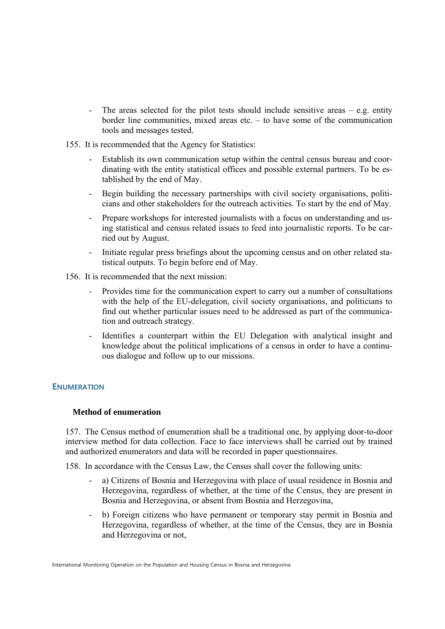- The areas selected for the pilot tests should include sensitive areas e.g. entity border line communities, mixed areas etc. – to have some of the communication tools and messages tested.
- 155. It is recommended that the Agency for Statistics:
	- Establish its own communication setup within the central census bureau and coordinating with the entity statistical offices and possible external partners. To be established by the end of May.
	- Begin building the necessary partnerships with civil society organisations, politicians and other stakeholders for the outreach activities. To start by the end of May.
	- Prepare workshops for interested journalists with a focus on understanding and using statistical and census related issues to feed into journalistic reports. To be carried out by August.
	- Initiate regular press briefings about the upcoming census and on other related statistical outputs. To begin before end of May.
- 156. It is recommended that the next mission:
	- Provides time for the communication expert to carry out a number of consultations with the help of the EU-delegation, civil society organisations, and politicians to find out whether particular issues need to be addressed as part of the communication and outreach strategy.
	- Identifies a counterpart within the EU Delegation with analytical insight and knowledge about the political implications of a census in order to have a continuous dialogue and follow up to our missions.

#### **ENUMERATION**

#### **Method of enumeration**

157. The Census method of enumeration shall be a traditional one, by applying door-to-door interview method for data collection. Face to face interviews shall be carried out by trained and authorized enumerators and data will be recorded in paper questionnaires.

158. In accordance with the Census Law, the Census shall cover the following units:

- a) Citizens of Bosnia and Herzegovina with place of usual residence in Bosnia and Herzegovina, regardless of whether, at the time of the Census, they are present in Bosnia and Herzegovina, or absent from Bosnia and Herzegovina,
- b) Foreign citizens who have permanent or temporary stay permit in Bosnia and Herzegovina, regardless of whether, at the time of the Census, they are in Bosnia and Herzegovina or not,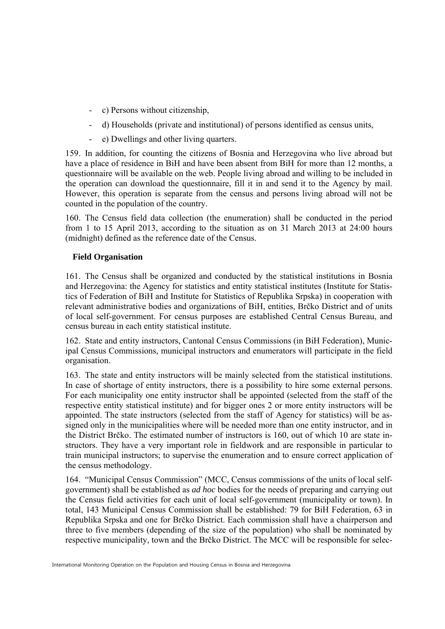- c) Persons without citizenship,
- d) Households (private and institutional) of persons identified as census units,
- e) Dwellings and other living quarters.

159. In addition, for counting the citizens of Bosnia and Herzegovina who live abroad but have a place of residence in BiH and have been absent from BiH for more than 12 months, a questionnaire will be available on the web. People living abroad and willing to be included in the operation can download the questionnaire, fill it in and send it to the Agency by mail. However, this operation is separate from the census and persons living abroad will not be counted in the population of the country.

160. The Census field data collection (the enumeration) shall be conducted in the period from 1 to 15 April 2013, according to the situation as on 31 March 2013 at 24:00 hours (midnight) defined as the reference date of the Census.

# **Field Organisation**

161. The Census shall be organized and conducted by the statistical institutions in Bosnia and Herzegovina: the Agency for statistics and entity statistical institutes (Institute for Statistics of Federation of BiH and Institute for Statistics of Republika Srpska) in cooperation with relevant administrative bodies and organizations of BiH, entities, Brčko District and of units of local self-government. For census purposes are established Central Census Bureau, and census bureau in each entity statistical institute.

162. State and entity instructors, Cantonal Census Commissions (in BiH Federation), Municipal Census Commissions, municipal instructors and enumerators will participate in the field organisation.

163. The state and entity instructors will be mainly selected from the statistical institutions. In case of shortage of entity instructors, there is a possibility to hire some external persons. For each municipality one entity instructor shall be appointed (selected from the staff of the respective entity statistical institute) and for bigger ones 2 or more entity instructors will be appointed. The state instructors (selected from the staff of Agency for statistics) will be assigned only in the municipalities where will be needed more than one entity instructor, and in the District Brčko. The estimated number of instructors is 160, out of which 10 are state instructors. They have a very important role in fieldwork and are responsible in particular to train municipal instructors; to supervise the enumeration and to ensure correct application of the census methodology.

164. "Municipal Census Commission" (MCC, Census commissions of the units of local selfgovernment) shall be established as *ad hoc* bodies for the needs of preparing and carrying out the Census field activities for each unit of local self-government (municipality or town). In total, 143 Municipal Census Commission shall be established: 79 for BiH Federation, 63 in Republika Srpska and one for Brčko District. Each commission shall have a chairperson and three to five members (depending of the size of the population) who shall be nominated by respective municipality, town and the Brčko District. The MCC will be responsible for selec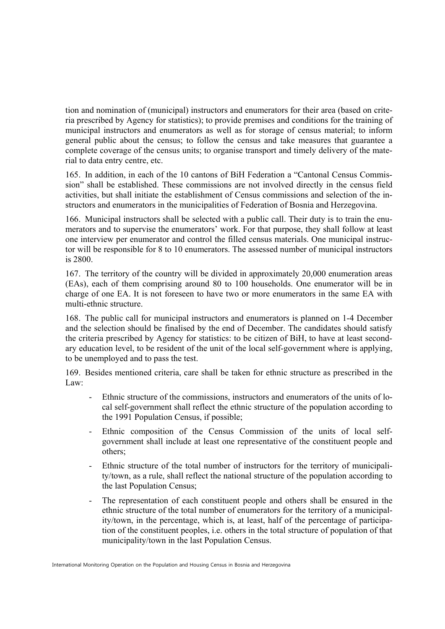tion and nomination of (municipal) instructors and enumerators for their area (based on criteria prescribed by Agency for statistics); to provide premises and conditions for the training of municipal instructors and enumerators as well as for storage of census material; to inform general public about the census; to follow the census and take measures that guarantee a complete coverage of the census units; to organise transport and timely delivery of the material to data entry centre, etc.

165. In addition, in each of the 10 cantons of BiH Federation a "Cantonal Census Commission" shall be established. These commissions are not involved directly in the census field activities, but shall initiate the establishment of Census commissions and selection of the instructors and enumerators in the municipalities of Federation of Bosnia and Herzegovina.

166. Municipal instructors shall be selected with a public call. Their duty is to train the enumerators and to supervise the enumerators' work. For that purpose, they shall follow at least one interview per enumerator and control the filled census materials. One municipal instructor will be responsible for 8 to 10 enumerators. The assessed number of municipal instructors is 2800.

167. The territory of the country will be divided in approximately 20,000 enumeration areas (EAs), each of them comprising around 80 to 100 households. One enumerator will be in charge of one EA. It is not foreseen to have two or more enumerators in the same EA with multi-ethnic structure.

168. The public call for municipal instructors and enumerators is planned on 1-4 December and the selection should be finalised by the end of December. The candidates should satisfy the criteria prescribed by Agency for statistics: to be citizen of BiH, to have at least secondary education level, to be resident of the unit of the local self-government where is applying, to be unemployed and to pass the test.

169. Besides mentioned criteria, care shall be taken for ethnic structure as prescribed in the Law:

- Ethnic structure of the commissions, instructors and enumerators of the units of local self-government shall reflect the ethnic structure of the population according to the 1991 Population Census, if possible;
- Ethnic composition of the Census Commission of the units of local selfgovernment shall include at least one representative of the constituent people and others;
- Ethnic structure of the total number of instructors for the territory of municipality/town, as a rule, shall reflect the national structure of the population according to the last Population Census;
- The representation of each constituent people and others shall be ensured in the ethnic structure of the total number of enumerators for the territory of a municipality/town, in the percentage, which is, at least, half of the percentage of participation of the constituent peoples, i.e. others in the total structure of population of that municipality/town in the last Population Census.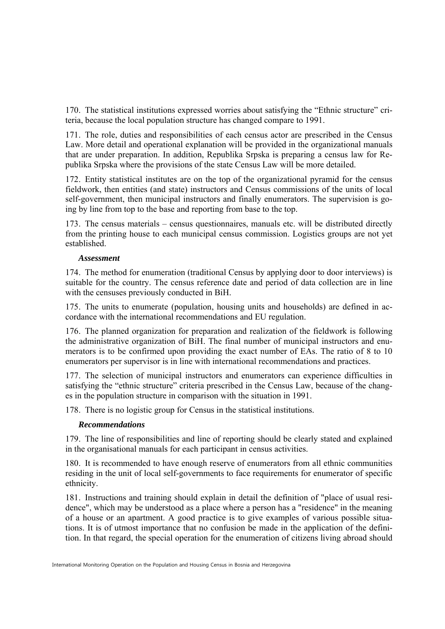170. The statistical institutions expressed worries about satisfying the "Ethnic structure" criteria, because the local population structure has changed compare to 1991.

171. The role, duties and responsibilities of each census actor are prescribed in the Census Law. More detail and operational explanation will be provided in the organizational manuals that are under preparation. In addition, Republika Srpska is preparing a census law for Republika Srpska where the provisions of the state Census Law will be more detailed.

172. Entity statistical institutes are on the top of the organizational pyramid for the census fieldwork, then entities (and state) instructors and Census commissions of the units of local self-government, then municipal instructors and finally enumerators. The supervision is going by line from top to the base and reporting from base to the top.

173. The census materials – census questionnaires, manuals etc. will be distributed directly from the printing house to each municipal census commission. Logistics groups are not yet established.

#### *Assessment*

174. The method for enumeration (traditional Census by applying door to door interviews) is suitable for the country. The census reference date and period of data collection are in line with the censuses previously conducted in BiH.

175. The units to enumerate (population, housing units and households) are defined in accordance with the international recommendations and EU regulation.

176. The planned organization for preparation and realization of the fieldwork is following the administrative organization of BiH. The final number of municipal instructors and enumerators is to be confirmed upon providing the exact number of EAs. The ratio of 8 to 10 enumerators per supervisor is in line with international recommendations and practices.

177. The selection of municipal instructors and enumerators can experience difficulties in satisfying the "ethnic structure" criteria prescribed in the Census Law, because of the changes in the population structure in comparison with the situation in 1991.

178. There is no logistic group for Census in the statistical institutions.

#### *Recommendations*

179. The line of responsibilities and line of reporting should be clearly stated and explained in the organisational manuals for each participant in census activities.

180. It is recommended to have enough reserve of enumerators from all ethnic communities residing in the unit of local self-governments to face requirements for enumerator of specific ethnicity.

181. Instructions and training should explain in detail the definition of "place of usual residence", which may be understood as a place where a person has a "residence" in the meaning of a house or an apartment. A good practice is to give examples of various possible situations. It is of utmost importance that no confusion be made in the application of the definition. In that regard, the special operation for the enumeration of citizens living abroad should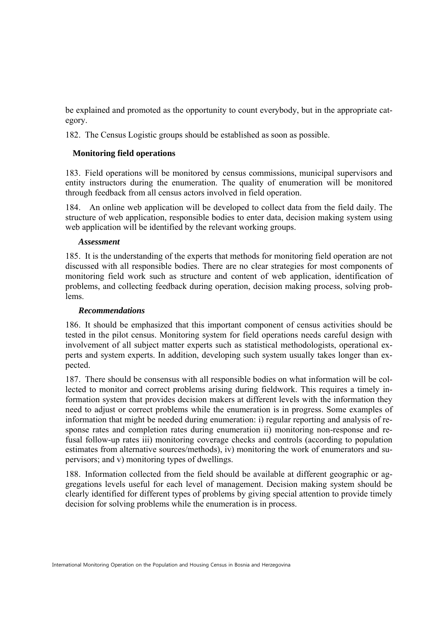be explained and promoted as the opportunity to count everybody, but in the appropriate category.

182. The Census Logistic groups should be established as soon as possible.

# **Monitoring field operations**

183. Field operations will be monitored by census commissions, municipal supervisors and entity instructors during the enumeration. The quality of enumeration will be monitored through feedback from all census actors involved in field operation.

184. An online web application will be developed to collect data from the field daily. The structure of web application, responsible bodies to enter data, decision making system using web application will be identified by the relevant working groups.

#### *Assessment*

185. It is the understanding of the experts that methods for monitoring field operation are not discussed with all responsible bodies. There are no clear strategies for most components of monitoring field work such as structure and content of web application, identification of problems, and collecting feedback during operation, decision making process, solving problems.

## *Recommendations*

186. It should be emphasized that this important component of census activities should be tested in the pilot census. Monitoring system for field operations needs careful design with involvement of all subject matter experts such as statistical methodologists, operational experts and system experts. In addition, developing such system usually takes longer than expected.

187. There should be consensus with all responsible bodies on what information will be collected to monitor and correct problems arising during fieldwork. This requires a timely information system that provides decision makers at different levels with the information they need to adjust or correct problems while the enumeration is in progress. Some examples of information that might be needed during enumeration: i) regular reporting and analysis of response rates and completion rates during enumeration ii) monitoring non-response and refusal follow-up rates iii) monitoring coverage checks and controls (according to population estimates from alternative sources/methods), iv) monitoring the work of enumerators and supervisors; and v) monitoring types of dwellings.

188. Information collected from the field should be available at different geographic or aggregations levels useful for each level of management. Decision making system should be clearly identified for different types of problems by giving special attention to provide timely decision for solving problems while the enumeration is in process.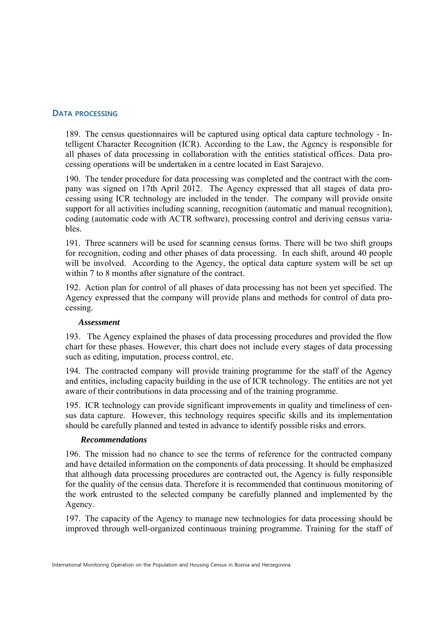## **DATA PROCESSING**

189. The census questionnaires will be captured using optical data capture technology - Intelligent Character Recognition (ICR). According to the Law, the Agency is responsible for all phases of data processing in collaboration with the entities statistical offices. Data processing operations will be undertaken in a centre located in East Sarajevo.

190. The tender procedure for data processing was completed and the contract with the company was signed on 17th April 2012. The Agency expressed that all stages of data processing using ICR technology are included in the tender. The company will provide onsite support for all activities including scanning, recognition (automatic and manual recognition), coding (automatic code with ACTR software), processing control and deriving census variables.

191. Three scanners will be used for scanning census forms. There will be two shift groups for recognition, coding and other phases of data processing. In each shift, around 40 people will be involved. According to the Agency, the optical data capture system will be set up within 7 to 8 months after signature of the contract.

192. Action plan for control of all phases of data processing has not been yet specified. The Agency expressed that the company will provide plans and methods for control of data processing.

#### *Assessment*

193. The Agency explained the phases of data processing procedures and provided the flow chart for these phases. However, this chart does not include every stages of data processing such as editing, imputation, process control, etc.

194. The contracted company will provide training programme for the staff of the Agency and entities, including capacity building in the use of ICR technology. The entities are not yet aware of their contributions in data processing and of the training programme.

195. ICR technology can provide significant improvements in quality and timeliness of census data capture. However, this technology requires specific skills and its implementation should be carefully planned and tested in advance to identify possible risks and errors.

#### *Recommendations*

196. The mission had no chance to see the terms of reference for the contracted company and have detailed information on the components of data processing. It should be emphasized that although data processing procedures are contracted out, the Agency is fully responsible for the quality of the census data. Therefore it is recommended that continuous monitoring of the work entrusted to the selected company be carefully planned and implemented by the Agency.

197. The capacity of the Agency to manage new technologies for data processing should be improved through well-organized continuous training programme. Training for the staff of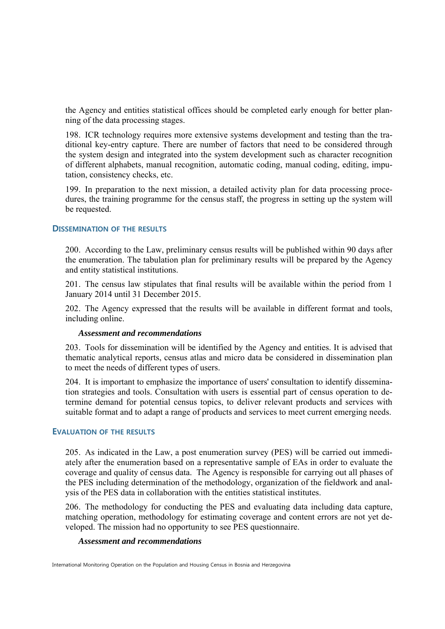the Agency and entities statistical offices should be completed early enough for better planning of the data processing stages.

198. ICR technology requires more extensive systems development and testing than the traditional key-entry capture. There are number of factors that need to be considered through the system design and integrated into the system development such as character recognition of different alphabets, manual recognition, automatic coding, manual coding, editing, imputation, consistency checks, etc.

199. In preparation to the next mission, a detailed activity plan for data processing procedures, the training programme for the census staff, the progress in setting up the system will be requested.

#### **DISSEMINATION OF THE RESULTS**

200. According to the Law, preliminary census results will be published within 90 days after the enumeration. The tabulation plan for preliminary results will be prepared by the Agency and entity statistical institutions.

201. The census law stipulates that final results will be available within the period from 1 January 2014 until 31 December 2015.

202. The Agency expressed that the results will be available in different format and tools, including online.

#### *Assessment and recommendations*

203. Tools for dissemination will be identified by the Agency and entities. It is advised that thematic analytical reports, census atlas and micro data be considered in dissemination plan to meet the needs of different types of users.

204. It is important to emphasize the importance of users' consultation to identify dissemination strategies and tools. Consultation with users is essential part of census operation to determine demand for potential census topics, to deliver relevant products and services with suitable format and to adapt a range of products and services to meet current emerging needs.

#### **EVALUATION OF THE RESULTS**

205. As indicated in the Law, a post enumeration survey (PES) will be carried out immediately after the enumeration based on a representative sample of EAs in order to evaluate the coverage and quality of census data. The Agency is responsible for carrying out all phases of the PES including determination of the methodology, organization of the fieldwork and analysis of the PES data in collaboration with the entities statistical institutes.

206. The methodology for conducting the PES and evaluating data including data capture, matching operation, methodology for estimating coverage and content errors are not yet developed. The mission had no opportunity to see PES questionnaire.

#### *Assessment and recommendations*

International Monitoring Operation on the Population and Housing Census in Bosnia and Herzegovina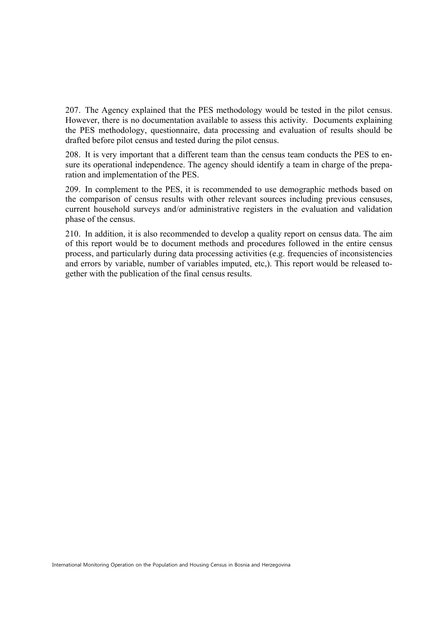207. The Agency explained that the PES methodology would be tested in the pilot census. However, there is no documentation available to assess this activity. Documents explaining the PES methodology, questionnaire, data processing and evaluation of results should be drafted before pilot census and tested during the pilot census.

208. It is very important that a different team than the census team conducts the PES to ensure its operational independence. The agency should identify a team in charge of the preparation and implementation of the PES.

209. In complement to the PES, it is recommended to use demographic methods based on the comparison of census results with other relevant sources including previous censuses, current household surveys and/or administrative registers in the evaluation and validation phase of the census.

210. In addition, it is also recommended to develop a quality report on census data. The aim of this report would be to document methods and procedures followed in the entire census process, and particularly during data processing activities (e.g. frequencies of inconsistencies and errors by variable, number of variables imputed, etc,). This report would be released together with the publication of the final census results.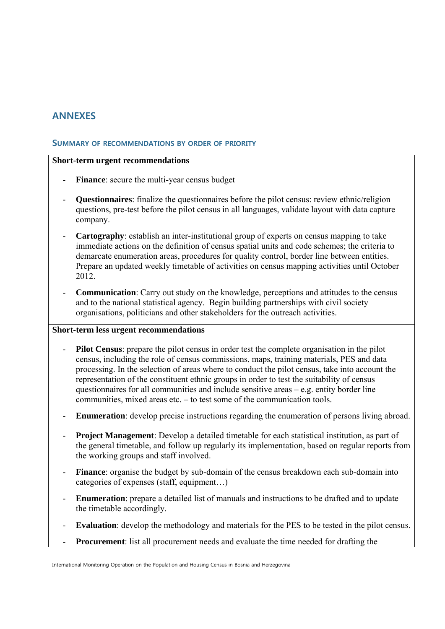# **ANNEXES**

#### **SUMMARY OF RECOMMENDATIONS BY ORDER OF PRIORITY**

#### **Short-term urgent recommendations**

- **Finance**: secure the multi-year census budget
- **Questionnaires**: finalize the questionnaires before the pilot census: review ethnic/religion questions, pre-test before the pilot census in all languages, validate layout with data capture company.
- **Cartography**: establish an inter-institutional group of experts on census mapping to take immediate actions on the definition of census spatial units and code schemes; the criteria to demarcate enumeration areas, procedures for quality control, border line between entities. Prepare an updated weekly timetable of activities on census mapping activities until October 2012.
- **Communication**: Carry out study on the knowledge, perceptions and attitudes to the census and to the national statistical agency. Begin building partnerships with civil society organisations, politicians and other stakeholders for the outreach activities.

# **Short-term less urgent recommendations**

- **Pilot Census**: prepare the pilot census in order test the complete organisation in the pilot census, including the role of census commissions, maps, training materials, PES and data processing. In the selection of areas where to conduct the pilot census, take into account the representation of the constituent ethnic groups in order to test the suitability of census questionnaires for all communities and include sensitive areas – e.g. entity border line communities, mixed areas etc. – to test some of the communication tools.
- **Enumeration**: develop precise instructions regarding the enumeration of persons living abroad.
- **Project Management**: Develop a detailed timetable for each statistical institution, as part of the general timetable, and follow up regularly its implementation, based on regular reports from the working groups and staff involved.
- Finance: organise the budget by sub-domain of the census breakdown each sub-domain into categories of expenses (staff, equipment…)
- **Enumeration**: prepare a detailed list of manuals and instructions to be drafted and to update the timetable accordingly.
- **Evaluation**: develop the methodology and materials for the PES to be tested in the pilot census.
- **Procurement**: list all procurement needs and evaluate the time needed for drafting the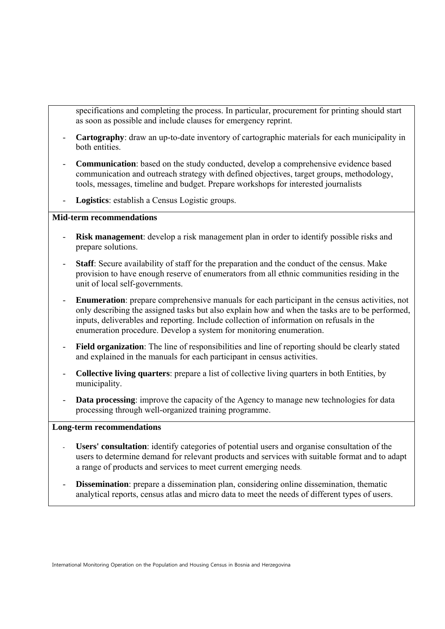- specifications and completing the process. In particular, procurement for printing should start as soon as possible and include clauses for emergency reprint.
- **Cartography**: draw an up-to-date inventory of cartographic materials for each municipality in both entities.
- **Communication**: based on the study conducted, develop a comprehensive evidence based communication and outreach strategy with defined objectives, target groups, methodology, tools, messages, timeline and budget. Prepare workshops for interested journalists
- **Logistics**: establish a Census Logistic groups.

# **Mid-term recommendations**

- **Risk management**: develop a risk management plan in order to identify possible risks and prepare solutions.
- **Staff**: Secure availability of staff for the preparation and the conduct of the census. Make provision to have enough reserve of enumerators from all ethnic communities residing in the unit of local self-governments.
- **Enumeration**: prepare comprehensive manuals for each participant in the census activities, not only describing the assigned tasks but also explain how and when the tasks are to be performed, inputs, deliverables and reporting. Include collection of information on refusals in the enumeration procedure. Develop a system for monitoring enumeration.
- Field organization: The line of responsibilities and line of reporting should be clearly stated and explained in the manuals for each participant in census activities.
- **Collective living quarters**: prepare a list of collective living quarters in both Entities, by municipality.
- **Data processing**: improve the capacity of the Agency to manage new technologies for data processing through well-organized training programme.

#### **Long-term recommendations**

- **Users' consultation**: identify categories of potential users and organise consultation of the users to determine demand for relevant products and services with suitable format and to adapt a range of products and services to meet current emerging needs.
- **Dissemination**: prepare a dissemination plan, considering online dissemination, thematic analytical reports, census atlas and micro data to meet the needs of different types of users.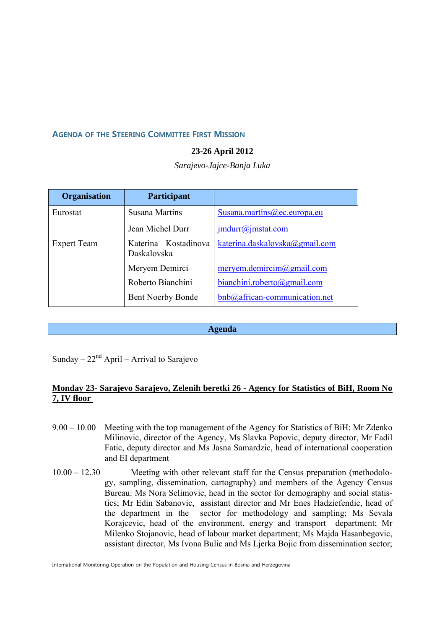#### **AGENDA OF THE STEERING COMMITTEE FIRST MISSION**

#### **23-26 April 2012**

*Sarajevo-Jajce-Banja Luka* 

| <b>Organisation</b> | Participant                         |                                             |
|---------------------|-------------------------------------|---------------------------------------------|
| Eurostat            | Susana Martins                      | Susana.martins@ec.europa.eu                 |
|                     | Jean Michel Durr                    | $\frac{\text{imdur}(a)}{\text{imstat.com}}$ |
| <b>Expert Team</b>  | Katerina Kostadinova<br>Daskalovska | katerina.daskalovska@gmail.com              |
|                     | Meryem Demirci                      | meryem.demircim@gmail.com                   |
|                     | Roberto Bianchini                   | bianchini. roberto@gmail.com                |
|                     | <b>Bent Noerby Bonde</b>            | bnb@african-communication.net               |

**Agenda** 

Sunday –  $22<sup>nd</sup>$  April – Arrival to Sarajevo

# **Monday 23- Sarajevo Sarajevo, Zelenih beretki 26 - Agency for Statistics of BiH, Room No 7, IV floor**

- 9.00 10.00 Meeting with the top management of the Agency for Statistics of BiH: Mr Zdenko Milinovic, director of the Agency, Ms Slavka Popovic, deputy director, Mr Fadil Fatic, deputy director and Ms Jasna Samardzic, head of international cooperation and EI department
- 10.00 12.30 Meeting with other relevant staff for the Census preparation (methodology, sampling, dissemination, cartography) and members of the Agency Census Bureau: Ms Nora Selimovic, head in the sector for demography and social statistics; Mr Edin Sabanovic, assistant director and Mr Enes Hadziefendic, head of the department in the sector for methodology and sampling; Ms Sevala Korajcevic, head of the environment, energy and transport department; Mr Milenko Stojanovic, head of labour market department; Ms Majda Hasanbegovic, assistant director, Ms Ivona Bulic and Ms Ljerka Bojic from dissemination sector;

International Monitoring Operation on the Population and Housing Census in Bosnia and Herzegovina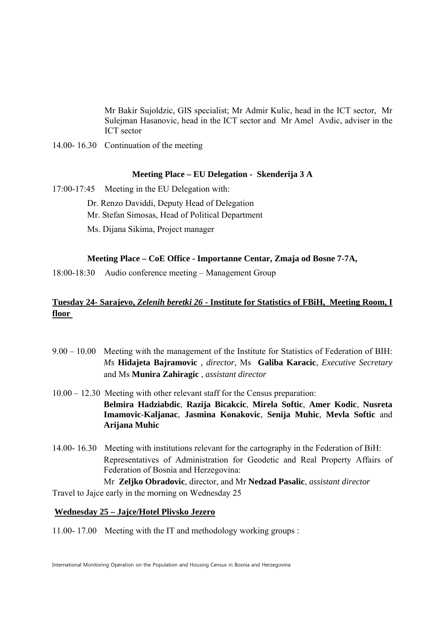Mr Bakir Sujoldzic, GIS specialist; Mr Admir Kulic, head in the ICT sector, Mr Sulejman Hasanovic, head in the ICT sector and Mr Amel Avdic, adviser in the ICT sector

14.00- 16.30 Continuation of the meeting

#### **Meeting Place – EU Delegation - Skenderija 3 A**

- 17:00-17:45 Meeting in the EU Delegation with:
	- Dr. Renzo Daviddi, Deputy Head of Delegation
	- Mr. Stefan Simosas, Head of Political Department
	- Ms. Dijana Sikima, Project manager

# **Meeting Place – CoE Office - Importanne Centar, Zmaja od Bosne 7-7A,**

18:00-18:30 Audio conference meeting – Management Group

# **Tuesday 24- Sarajevo,** *Zelenih beretki 26* **- Institute for Statistics of FBiH, Meeting Room, I floor**

- 9.00 10.00 Meeting with the management of the Institute for Statistics of Federation of BIH: *Ms* **Hidajeta Bajramovic** *, director,* Ms **Galiba Karacic**, *Executive Secretary* and Ms **Munira Zahiragic** , *assistant director*
- 10.00 12.30 Meeting with other relevant staff for the Census preparation: **Belmira Hadziabdic**, **Razija Bicakcic**, **Mirela Softic**, **Amer Kodic**, **Nusreta Imamovic**-**Kaljanac**, **Jasmina Konakovic**, **Senija Muhic**, **Mevla Softic** and **Arijana Muhic**
- 14.00- 16.30 Meeting with institutions relevant for the cartography in the Federation of BiH: Representatives of Administration for Geodetic and Real Property Affairs of Federation of Bosnia and Herzegovina:

Mr **Zeljko Obradovic**, director, and Mr **Nedzad Pasalic**, *assistant director* Travel to Jajce early in the morning on Wednesday 25

#### **Wednesday 25 – Jajce/Hotel Plivsko Jezero**

11.00- 17.00 Meeting with the IT and methodology working groups :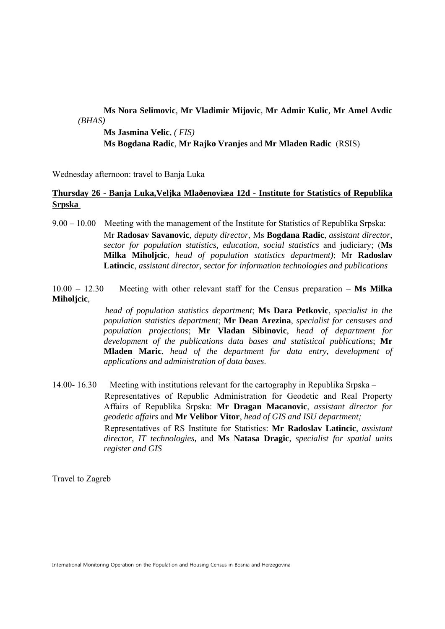# **Ms Nora Selimovic***,* **Mr Vladimir Mijovic***,* **Mr Admir Kulic***,* **Mr Amel Avdic** *(BHAS)*  **Ms Jasmina Velic***, ( FIS)*  **Ms Bogdana Radic***,* **Mr Rajko Vranjes** and **Mr Mladen Radic** (RSIS)

Wednesday afternoon: travel to Banja Luka

# **Thursday 26 - Banja Luka,Veljka Mlaðenoviæa 12d - Institute for Statistics of Republika Srpska**

9.00 – 10.00 Meeting with the management of the Institute for Statistics of Republika Srpska: Mr **Radosav Savanovic**, *deputy director*, Ms **Bogdana Radic**, *assistant director*, *sector for population statistics, education, social statistics* and judiciary; (**Ms Milka Miholjcic**, *head of population statistics department)*; Mr **Radoslav Latincic**, *assistant director, sector for information technologies and publications*

10.00 – 12.30 Meeting with other relevant staff for the Census preparation – **Ms Milka Miholjcic**,

> *head of population statistics department*; **Ms Dara Petkovic**, *specialist in the population statistics department*; **Mr Dean Arezina**, *specialist for censuses and population projections*; **Mr Vladan Sibinovic**, *head of department for development of the publications data bases and statistical publications*; **Mr Mladen Maric**, *head of the department for data entry, development of applications and administration of data bases*.

14.00- 16.30 Meeting with institutions relevant for the cartography in Republika Srpska – Representatives of Republic Administration for Geodetic and Real Property Affairs of Republika Srpska: **Mr Dragan Macanovic**, *assistant director for geodetic affairs* and **Mr Velibor Vitor**, *head of GIS and ISU department;*  Representatives of RS Institute for Statistics: **Mr Radoslav Latincic**, *assistant director, IT technologies,* and **Ms Natasa Dragic***, specialist for spatial units register and GIS* 

Travel to Zagreb